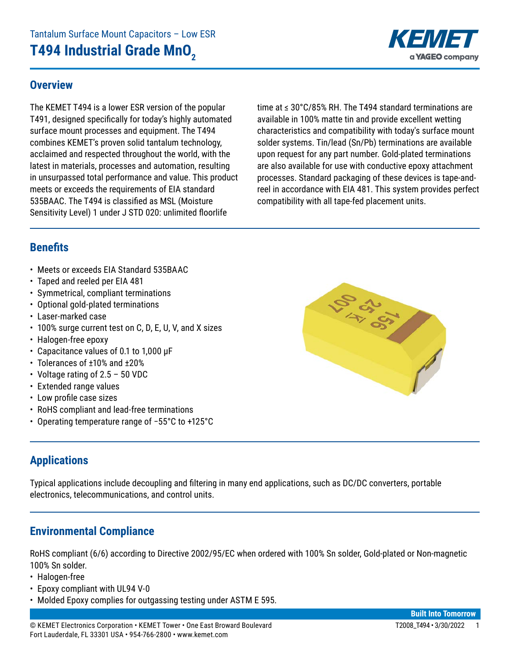### **Overview**

The KEMET T494 is a lower ESR version of the popular T491, designed specifically for today's highly automated surface mount processes and equipment. The T494 combines KEMET's proven solid tantalum technology, acclaimed and respected throughout the world, with the latest in materials, processes and automation, resulting in unsurpassed total performance and value. This product meets or exceeds the requirements of EIA standard 535BAAC. The T494 is classified as MSL (Moisture Sensitivity Level) 1 under J STD 020: unlimited floorlife

time at ≤ 30°C/85% RH. The T494 standard terminations are available in 100% matte tin and provide excellent wetting characteristics and compatibility with today's surface mount solder systems. Tin/lead (Sn/Pb) terminations are available upon request for any part number. Gold-plated terminations are also available for use with conductive epoxy attachment processes. Standard packaging of these devices is tape-andreel in accordance with EIA 481. This system provides perfect compatibility with all tape-fed placement units.

# **Benefits**

- Meets or exceeds EIA Standard 535BAAC
- Taped and reeled per EIA 481
- Symmetrical, compliant terminations
- Optional gold-plated terminations
- Laser-marked case
- 100% surge current test on C, D, E, U, V, and X sizes
- Halogen-free epoxy
- • Capacitance values of 0.1 to 1,000 μF
- Tolerances of ±10% and ±20%
- Voltage rating of 2.5 50 VDC
- Extended range values
- • Low profile case sizes
- RoHS compliant and lead-free terminations
- • Operating temperature range of −55°C to +125°C

### **Applications**

Typical applications include decoupling and filtering in many end applications, such as DC/DC converters, portable electronics, telecommunications, and control units.

#### **Environmental Compliance**

RoHS compliant (6/6) according to Directive 2002/95/EC when ordered with 100% Sn solder, Gold-plated or Non-magnetic 100% Sn solder.

- Halogen-free
- Epoxy compliant with UL94 V-0
- Molded Epoxy complies for outgassing testing under ASTM E 595.



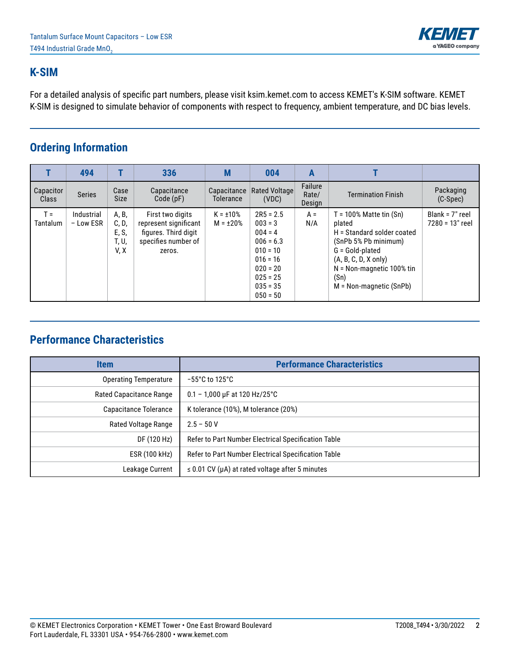

### **K-SIM**

For a detailed analysis of specific part numbers, please visit ksim.kemet.com to access KEMET's K-SIM software. KEMET K-SIM is designed to simulate behavior of components with respect to frequency, ambient temperature, and DC bias levels.

### **Ordering Information**

|                           | 494                     |                                          | 336                                                                                                | M                                | 004                                                                                                                                      | A                          |                                                                                                                                                                                                              |                                      |
|---------------------------|-------------------------|------------------------------------------|----------------------------------------------------------------------------------------------------|----------------------------------|------------------------------------------------------------------------------------------------------------------------------------------|----------------------------|--------------------------------------------------------------------------------------------------------------------------------------------------------------------------------------------------------------|--------------------------------------|
| Capacitor<br><b>Class</b> | <b>Series</b>           | Case<br><b>Size</b>                      | Capacitance<br>Code(pF)                                                                            | Capacitance<br>Tolerance         | <b>Rated Voltage</b><br>(VDC)                                                                                                            | Failure<br>Rate/<br>Design | <b>Termination Finish</b>                                                                                                                                                                                    | Packaging<br>(C-Spec)                |
| $T =$<br><b>Tantalum</b>  | Industrial<br>- Low ESR | A, B,<br>C, D,<br>E, S,<br>T, U,<br>V, X | First two digits<br>represent significant<br>figures. Third digit<br>specifies number of<br>zeros. | $K = \pm 10\%$<br>$M = \pm 20\%$ | $2R5 = 2.5$<br>$003 = 3$<br>$004 = 4$<br>$006 = 6.3$<br>$010 = 10$<br>$016 = 16$<br>$020 = 20$<br>$025 = 25$<br>$035 = 35$<br>$050 = 50$ | $A =$<br>N/A               | $T = 100\%$ Matte tin $(Sn)$<br>plated<br>H = Standard solder coated<br>(SnPb 5% Pb minimum)<br>G = Gold-plated<br>$(A, B, C, D, X$ only)<br>$N = Non-magnetic 100\%$ tin<br>(Sn)<br>M = Non-magnetic (SnPb) | Blank = $7"$ reel<br>7280 = 13" reel |

### **Performance Characteristics**

| <b>Item</b>             | <b>Performance Characteristics</b>                   |
|-------------------------|------------------------------------------------------|
| Operating Temperature   | $-55^{\circ}$ C to 125 $^{\circ}$ C                  |
| Rated Capacitance Range | $0.1 - 1,000$ µF at 120 Hz/25°C                      |
| Capacitance Tolerance   | K tolerance (10%), M tolerance (20%)                 |
| Rated Voltage Range     | $2.5 - 50V$                                          |
| DF (120 Hz)             | Refer to Part Number Electrical Specification Table  |
| ESR (100 kHz)           | Refer to Part Number Electrical Specification Table  |
| Leakage Current         | $\leq$ 0.01 CV (µA) at rated voltage after 5 minutes |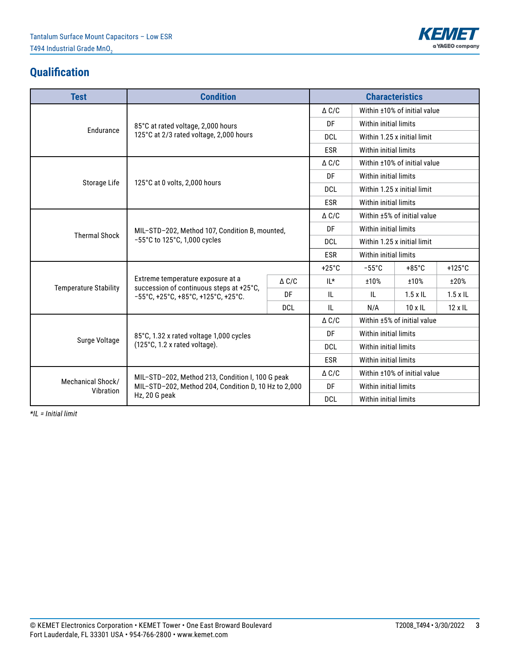

# **Qualification**

| <b>Test</b>          | <b>Condition</b>                                                                                                                                                            |                 |                 | <b>Characteristics</b> |                              |                  |  |  |
|----------------------|-----------------------------------------------------------------------------------------------------------------------------------------------------------------------------|-----------------|-----------------|------------------------|------------------------------|------------------|--|--|
|                      |                                                                                                                                                                             |                 | $\triangle C/C$ |                        | Within ±10% of initial value |                  |  |  |
|                      | 85°C at rated voltage, 2,000 hours                                                                                                                                          |                 | DF              | Within initial limits  |                              |                  |  |  |
|                      | Endurance<br>125°C at 2/3 rated voltage, 2,000 hours                                                                                                                        |                 | <b>DCL</b>      |                        | Within 1.25 x initial limit  |                  |  |  |
|                      |                                                                                                                                                                             |                 | <b>ESR</b>      | Within initial limits  |                              |                  |  |  |
|                      |                                                                                                                                                                             |                 | $\triangle C/C$ |                        | Within ±10% of initial value |                  |  |  |
|                      |                                                                                                                                                                             |                 | DF              | Within initial limits  |                              |                  |  |  |
| Storage Life         | 125°C at 0 volts, 2,000 hours                                                                                                                                               |                 | <b>DCL</b>      |                        | Within 1.25 x initial limit  |                  |  |  |
|                      |                                                                                                                                                                             |                 | <b>ESR</b>      | Within initial limits  |                              |                  |  |  |
|                      |                                                                                                                                                                             |                 | $\triangle C/C$ |                        | Within ±5% of initial value  |                  |  |  |
| <b>Thermal Shock</b> | MIL-STD-202, Method 107, Condition B, mounted,                                                                                                                              |                 | DF              | Within initial limits  |                              |                  |  |  |
|                      | $-55^{\circ}$ C to 125 $^{\circ}$ C, 1,000 cycles                                                                                                                           |                 | <b>DCL</b>      |                        | Within 1.25 x initial limit  |                  |  |  |
|                      |                                                                                                                                                                             |                 | <b>ESR</b>      | Within initial limits  |                              |                  |  |  |
|                      |                                                                                                                                                                             |                 | $+25^{\circ}$ C | $-55^{\circ}$ C        | $+85^{\circ}$ C              | $+125^{\circ}$ C |  |  |
|                      | Extreme temperature exposure at a                                                                                                                                           | $\triangle C/C$ | $II^*$          | ±10%                   | ±10%                         | ±20%             |  |  |
|                      | $-55^{\circ}$ C, +25 $^{\circ}$ C, +85 $^{\circ}$ C, +125 $^{\circ}$ C, +25 $^{\circ}$ C.                                                                                   | DF              | IL              | IL                     | $1.5 \times$ IL              | $1.5 \times$ IL  |  |  |
|                      |                                                                                                                                                                             | <b>DCL</b>      | IL              | N/A                    | $10 \times$ IL               | $12 \times 1$ L  |  |  |
|                      |                                                                                                                                                                             |                 | $\Delta$ C/C    |                        | Within ±5% of initial value  |                  |  |  |
|                      | 85°C, 1.32 x rated voltage 1,000 cycles                                                                                                                                     |                 | DF              | Within initial limits  |                              |                  |  |  |
|                      | (125°C, 1.2 x rated voltage).                                                                                                                                               |                 | <b>DCL</b>      | Within initial limits  |                              |                  |  |  |
|                      |                                                                                                                                                                             |                 | <b>ESR</b>      | Within initial limits  |                              |                  |  |  |
|                      |                                                                                                                                                                             |                 | $\triangle C/C$ |                        | Within ±10% of initial value |                  |  |  |
| Mechanical Shock/    | MIL-STD-202, Method 204, Condition D, 10 Hz to 2,000                                                                                                                        |                 | DF              | Within initial limits  |                              |                  |  |  |
|                      | <b>Temperature Stability</b><br>succession of continuous steps at +25°C,<br>Surge Voltage<br>MIL-STD-202, Method 213, Condition I, 100 G peak<br>Vibration<br>Hz, 20 G peak |                 | <b>DCL</b>      | Within initial limits  |                              |                  |  |  |

*\*IL = Initial limit*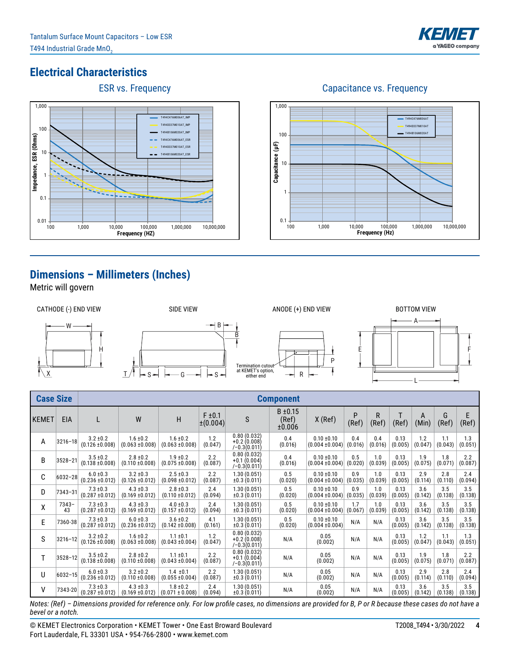

100 1,000 10,000 100,000 1,000,000 10,000,000

T494C476M006AT T494D337M010AT T494B106M020AT

**Frequency (Hz)**

Capacitance vs. Frequency

# **Electrical Characteristics**





# **Dimensions – Millimeters (Inches)**

Metric will govern



 $0.1 + 100$ 

1

10

**Capacitance (μF)**

Capacitance (µF)

100

1,000

| <b>Case Size</b> |               |                                      |                                      |                                      |                              |                                                 | <b>Component</b>                |                                        |                |                |                 |                |                |                |
|------------------|---------------|--------------------------------------|--------------------------------------|--------------------------------------|------------------------------|-------------------------------------------------|---------------------------------|----------------------------------------|----------------|----------------|-----------------|----------------|----------------|----------------|
| <b>KEMET</b>     | <b>EIA</b>    |                                      | W                                    | H                                    | $F \pm 0.1$<br>$\pm (0.004)$ | S                                               | $B \pm 0.15$<br>(Ref)<br>±0.006 | $X$ (Ref)                              | P<br>(Ref)     | R<br>(Ref)     | T<br>(Ref)      | A<br>(Min)     | G<br>(Ref)     | E<br>(Ref)     |
| A                | $3216 - 18$   | $3.2 \pm 0.2$<br>$(0.126 \pm 0.008)$ | $1.6 \pm 0.2$<br>$(0.063 \pm 0.008)$ | $1.6 \pm 0.2$<br>$(0.063 \pm 0.008)$ | 1.2<br>(0.047)               | 0.80(0.032)<br>$+0.2(0.008)$<br>$(-0.3(0.011))$ | 0.4<br>(0.016)                  | $0.10 \pm 0.10$<br>$(0.004 \pm 0.004)$ | 0.4<br>(0.016) | 0.4<br>(0.016) | 0.13<br>(0.005) | 1.2<br>(0.047) | 1.1<br>(0.043) | 1.3<br>(0.051) |
| B                | $3528 - 21$   | $3.5 \pm 0.2$<br>$(0.138 \pm 0.008)$ | $2.8 \pm 0.2$<br>$(0.110 \pm 0.008)$ | $1.9 \pm 0.2$<br>$(0.075 \pm 0.008)$ | 2.2<br>(0.087)               | 0.80(0.032)<br>$+0.1(0.004)$<br>$(-0.3(0.011))$ | 0.4<br>(0.016)                  | $0.10 \pm 0.10$<br>$(0.004 \pm 0.004)$ | 0.5<br>(0.020) | 1.0<br>(0.039) | 0.13<br>(0.005) | 1.9<br>(0.075) | 1.8<br>(0.071) | 2.2<br>(0.087) |
| С                | 6032-28       | $6.0 \pm 0.3$<br>$(0.236 \pm 0.012)$ | $3.2 \pm 0.3$<br>$(0.126 \pm 0.012)$ | $2.5 \pm 0.3$<br>$(0.098 \pm 0.012)$ | 2.2<br>(0.087)               | 1.30(0.051)<br>$\pm 0.3(0.011)$                 | 0.5<br>(0.020)                  | $0.10 \pm 0.10$<br>$(0.004 \pm 0.004)$ | 0.9<br>(0.035) | 1.0<br>(0.039) | 0.13<br>(0.005) | 2.9<br>(0.114) | 2.8<br>(0.110) | 2.4<br>(0.094) |
| D                | 7343-31       | $7.3 \pm 0.3$<br>$(0.287 \pm 0.012)$ | $4.3 \pm 0.3$<br>$(0.169 \pm 0.012)$ | $2.8 \pm 0.3$<br>$(0.110 \pm 0.012)$ | 2.4<br>(0.094)               | 1.30(0.051)<br>$\pm 0.3(0.011)$                 | 0.5<br>(0.020)                  | $0.10 \pm 0.10$<br>$(0.004 \pm 0.004)$ | 0.9<br>(0.035) | 1.0<br>(0.039) | 0.13<br>(0.005) | 3.6<br>(0.142) | 3.5<br>(0.138) | 3.5<br>(0.138) |
| χ                | $7343-$<br>43 | $7.3 \pm 0.3$<br>$(0.287 \pm 0.012)$ | $4.3 \pm 0.3$<br>$(0.169 \pm 0.012)$ | $4.0 \pm 0.3$<br>$(0.157 \pm 0.012)$ | 2.4<br>(0.094)               | 1.30(0.051)<br>$\pm 0.3(0.011)$                 | 0.5<br>(0.020)                  | $0.10 \pm 0.10$<br>$(0.004 \pm 0.004)$ | 1.7<br>(0.067) | 1.0<br>(0.039) | 0.13<br>(0.005) | 3.6<br>(0.142) | 3.5<br>(0.138) | 3.5<br>(0.138) |
| E                | 7360-38       | $7.3 \pm 0.3$<br>$(0.287 \pm 0.012)$ | $6.0 \pm 0.3$<br>$(0.236 \pm 0.012)$ | $3.6 \pm 0.2$<br>$(0.142 \pm 0.008)$ | 4.1<br>(0.161)               | 1.30(0.051)<br>$\pm 0.3(0.011)$                 | 0.5<br>(0.020)                  | $0.10 \pm 0.10$<br>$(0.004 \pm 0.004)$ | N/A            | N/A            | 0.13<br>(0.005) | 3.6<br>(0.142) | 3.5<br>(0.138) | 3.5<br>(0.138) |
| S                | $3216 - 12$   | $3.2 \pm 0.2$<br>$(0.126 \pm 0.008)$ | $1.6 \pm 0.2$<br>$(0.063 + 0.008)$   | $1.1 \pm 0.1$<br>$(0.043 \pm 0.004)$ | 1.2<br>(0.047)               | 0.80(0.032)<br>$+0.2(0.008)$<br>$(-0.3(0.011))$ | N/A                             | 0.05<br>(0.002)                        | N/A            | N/A            | 0.13<br>(0.005) | 1.2<br>(0.047) | 1.1<br>(0.043) | 1.3<br>(0.051) |
| T                | $3528 - 12$   | $3.5 \pm 0.2$<br>$(0.138 + 0.008)$   | $2.8 \pm 0.2$<br>$(0.110 \pm 0.008)$ | $1.1 \pm 0.1$<br>$(0.043 \pm 0.004)$ | 2.2<br>(0.087)               | 0.80(0.032)<br>$+0.1(0.004)$<br>$(-0.3(0.011))$ | N/A                             | 0.05<br>(0.002)                        | N/A            | N/A            | 0.13<br>(0.005) | 1.9<br>(0.075) | 1.8<br>(0.071) | 2.2<br>(0.087) |
| U                | $6032 - 15$   | $6.0 \pm 0.3$<br>$(0.236 \pm 0.012)$ | $3.2 \pm 0.2$<br>$(0.110 \pm 0.008)$ | $1.4 \pm 0.1$<br>$(0.055 \pm 0.004)$ | 2.2<br>(0.087)               | 1.30(0.051)<br>$\pm 0.3(0.011)$                 | N/A                             | 0.05<br>(0.002)                        | N/A            | N/A            | 0.13<br>(0.005) | 2.9<br>(0.114) | 2.8<br>(0.110) | 2.4<br>(0.094) |
| ٧                | 7343-20       | $7.3 \pm 0.3$<br>$(0.287 \pm 0.012)$ | $4.3 \pm 0.3$<br>$(0.169 \pm 0.012)$ | $1.8 \pm 0.2$<br>$(0.071 \pm 0.008)$ | 2.4<br>(0.094)               | 1.30(0.051)<br>$\pm 0.3(0.011)$                 | N/A                             | 0.05<br>(0.002)                        | N/A            | N/A            | 0.13<br>(0.005) | 3.6<br>(0.142) | 3.5<br>(0.138) | 3.5<br>(0.138) |

*Notes: (Ref) – Dimensions provided for reference only. For low profile cases, no dimensions are provided for B, P or R because these cases do not have a bevel or a notch.*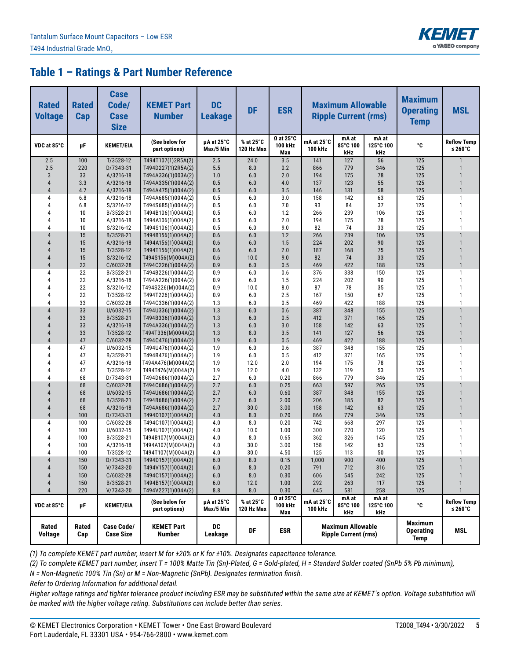

| <b>Rated</b><br><b>Voltage</b>   | <b>Rated</b><br>Cap | <b>Case</b><br>Code/<br><b>Case</b><br><b>Size</b> | <b>KEMET Part</b><br><b>Number</b>       | <b>DC</b><br><b>Leakage</b> | <b>DF</b>               | <b>ESR</b>                         |                       | <b>Maximum Allowable</b><br><b>Ripple Current (rms)</b> |                           | <b>Maximum</b><br><b>Operating</b><br><b>Temp</b> | <b>MSL</b>                       |
|----------------------------------|---------------------|----------------------------------------------------|------------------------------------------|-----------------------------|-------------------------|------------------------------------|-----------------------|---------------------------------------------------------|---------------------------|---------------------------------------------------|----------------------------------|
| VDC at 85°C                      | μF                  | <b>KEMET/EIA</b>                                   | (See below for<br>part options)          | µA at 25°C<br>Max/5 Min     | % at 25°C<br>120 Hz Max | $\Omega$ at 25°C<br>100 kHz<br>Max | mA at 25°C<br>100 kHz | mA at<br>85°C 100<br>kHz                                | mA at<br>125°C 100<br>kHz | °C                                                | <b>Reflow Temp</b><br>≤ 260 $°C$ |
| 2.5                              | 100                 | $T/3528-12$                                        | T494T107(1)2R5A(2)                       | 2.5                         | 24.0                    | 3.5                                | 141                   | 127                                                     | 56                        | 125                                               | $\mathbf{1}$                     |
| 2.5                              | 220                 | D/7343-31                                          | T494D227(1)2R5A(2)                       | 5.5                         | 8.0                     | 0.2                                | 866                   | 779                                                     | 346                       | 125                                               | $\mathbf{1}$                     |
| 3                                | 33                  | A/3216-18                                          | T494A336(1)003A(2)                       | 1.0                         | 6.0                     | 2.0                                | 194                   | 175                                                     | 78                        | 125                                               | $\mathbf{1}$                     |
| $\overline{4}$<br>$\overline{4}$ | 3.3                 | A/3216-18                                          | T494A335(1)004A(2)<br>T494A475(1)004A(2) | 0.5<br>0.5                  | 6.0                     | 4.0                                | 137                   | 123                                                     | 55<br>58                  | 125<br>125                                        | $\mathbf{1}$<br>$\mathbf{1}$     |
| 4                                | 4.7<br>6.8          | A/3216-18<br>A/3216-18                             | T494A685(1)004A(2)                       | 0.5                         | 6.0<br>6.0              | 3.5<br>3.0                         | 146<br>158            | 131<br>142                                              | 63                        | 125                                               | $\mathbf{1}$                     |
| 4                                | 6.8                 | S/3216-12                                          | T494S685(1)004A(2)                       | 0.5                         | 6.0                     | 7.0                                | 93                    | 84                                                      | 37                        | 125                                               | $\mathbf{1}$                     |
| Δ                                | 10                  | B/3528-21                                          | T494B106(1)004A(2)                       | 0.5                         | 6.0                     | 1.2                                | 266                   | 239                                                     | 106                       | 125                                               | $\mathbf{1}$                     |
| 4                                | 10                  | A/3216-18                                          | T494A106(1)004A(2)                       | 0.5                         | 6.0                     | 2.0                                | 194                   | 175                                                     | 78                        | 125                                               | $\mathbf{1}$                     |
| 4                                | 10                  | S/3216-12                                          | T494S106(1)004A(2)                       | 0.5                         | 6.0                     | 9.0                                | 82                    | 74                                                      | 33                        | 125                                               | $\mathbf{1}$                     |
| $\overline{4}$                   | 15                  | B/3528-21                                          | T494B156(1)004A(2)                       | 0.6                         | 6.0                     | 1.2                                | 266                   | 239                                                     | 106                       | 125                                               | $\mathbf{1}$                     |
| $\overline{4}$                   | 15                  | A/3216-18                                          | T494A156(1)004A(2)                       | 0.6                         | 6.0                     | 1.5                                | 224                   | 202                                                     | 90                        | 125                                               | $\mathbf{1}$                     |
| 4                                | 15                  | T/3528-12                                          | T494T156(1)004A(2)                       | 0.6                         | 6.0                     | 2.0                                | 187                   | 168                                                     | 75                        | 125                                               | $\mathbf{1}$                     |
| 4                                | 15                  | S/3216-12                                          | T494S156(M)004A(2)                       | 0.6                         | 10.0                    | 9.0                                | 82                    | 74                                                      | 33                        | 125                                               | $\mathbf{1}$                     |
| $\overline{4}$                   | 22                  | C/6032-28                                          | T494C226(1)004A(2)                       | 0.9                         | 6.0                     | 0.5                                | 469                   | 422                                                     | 188                       | 125                                               | $\mathbf{1}$                     |
| 4                                | 22                  | B/3528-21                                          | T494B226(1)004A(2)                       | 0.9                         | 6.0                     | 0.6                                | 376                   | 338                                                     | 150                       | 125                                               | $\mathbf{1}$                     |
| 4                                | 22                  | A/3216-18                                          | T494A226(1)004A(2)                       | 0.9                         | 6.0                     | 1.5                                | 224                   | 202                                                     | 90                        | 125                                               | $\mathbf{1}$                     |
| Δ                                | 22                  | S/3216-12                                          | T494S226(M)004A(2)                       | 0.9                         | 10.0                    | 8.0                                | 87                    | 78                                                      | 35                        | 125                                               | $\mathbf{1}$                     |
| 4<br>4                           | 22<br>33            | T/3528-12<br>$C/6032 - 28$                         | T494T226(1)004A(2)<br>T494C336(1)004A(2) | 0.9<br>1.3                  | 6.0<br>6.0              | 2.5<br>0.5                         | 167<br>469            | 150<br>422                                              | 67<br>188                 | 125<br>125                                        | $\mathbf{1}$<br>$\mathbf{1}$     |
| $\overline{4}$                   | 33                  | U/6032-15                                          | T494U336(1)004A(2)                       | 1.3                         | 6.0                     | 0.6                                | 387                   | 348                                                     | 155                       | 125                                               | $\mathbf{1}$                     |
| 4                                | 33                  | B/3528-21                                          | T494B336(1)004A(2)                       | 1.3                         | 6.0                     | 0.5                                | 412                   | 371                                                     | 165                       | 125                                               | $\mathbf{1}$                     |
| 4                                | 33                  | A/3216-18                                          | T494A336(1)004A(2)                       | 1.3                         | 6.0                     | 3.0                                | 158                   | 142                                                     | 63                        | 125                                               | $\mathbf{1}$                     |
| 4                                | 33                  | T/3528-12                                          | T494T336(M)004A(2)                       | 1.3                         | 8.0                     | 3.5                                | 141                   | 127                                                     | 56                        | 125                                               | $\mathbf{1}$                     |
| $\overline{4}$                   | 47                  | C/6032-28                                          | T494C476(1)004A(2)                       | 1.9                         | 6.0                     | 0.5                                | 469                   | 422                                                     | 188                       | 125                                               | $\mathbf{1}$                     |
| 4                                | 47                  | U/6032-15                                          | T494U476(1)004A(2)                       | 1.9                         | 6.0                     | 0.6                                | 387                   | 348                                                     | 155                       | 125                                               | $\mathbf{1}$                     |
| 4                                | 47                  | B/3528-21                                          | T494B476(1)004A(2)                       | 1.9                         | 6.0                     | 0.5                                | 412                   | 371                                                     | 165                       | 125                                               | $\mathbf{1}$                     |
| Δ                                | 47                  | A/3216-18                                          | T494A476(M)004A(2)                       | 1.9                         | 12.0                    | 2.0                                | 194                   | 175                                                     | 78                        | 125                                               | $\mathbf{1}$                     |
| 4                                | 47                  | T/3528-12                                          | T494T476(M)004A(2)                       | 1.9                         | 12.0                    | 4.0                                | 132                   | 119                                                     | 53                        | 125                                               | $\mathbf{1}$                     |
| 4                                | 68                  | D/7343-31                                          | T494D686(1)004A(2)                       | 2.7                         | 6.0                     | 0.20                               | 866                   | 779                                                     | 346                       | 125                                               | $\mathbf{1}$                     |
| $\overline{4}$                   | 68                  | $C/6032-28$                                        | T494C686(1)004A(2)                       | 2.7                         | 6.0                     | 0.25                               | 663                   | 597                                                     | 265                       | 125                                               | $\mathbf{1}$                     |
| $\overline{4}$                   | 68                  | U/6032-15                                          | T494U686(1)004A(2)                       | 2.7                         | 6.0                     | 0.60                               | 387                   | 348                                                     | 155                       | 125                                               | $\mathbf{1}$                     |
| 4                                | 68                  | B/3528-21                                          | T494B686(1)004A(2)                       | 2.7                         | 6.0                     | 2.00                               | 206                   | 185                                                     | 82                        | 125                                               | $\mathbf{1}$                     |
| 4<br>$\overline{4}$              | 68<br>100           | A/3216-18<br>D/7343-31                             | T494A686(1)004A(2)<br>T494D107(1)004A(2) | 2.7<br>4.0                  | 30.0<br>8.0             | 3.00<br>0.20                       | 158<br>866            | 142<br>779                                              | 63<br>346                 | 125<br>125                                        | $\mathbf{1}$<br>$\mathbf{1}$     |
| 4                                | 100                 | C/6032-28                                          | T494C107(1)004A(2)                       | 4.0                         | 8.0                     | 0.20                               | 742                   | 668                                                     | 297                       | 125                                               | $\mathbf{1}$                     |
| 4                                | 100                 | U/6032-15                                          | T494U107(1)004A(2)                       | 4.0                         | 10.0                    | 1.00                               | 300                   | 270                                                     | 120                       | 125                                               | $\mathbf{1}$                     |
| Δ                                | 100                 | B/3528-21                                          | T494B107(M)004A(2)                       | 4.0                         | 8.0                     | 0.65                               | 362                   | 326                                                     | 145                       | 125                                               | $\mathbf{1}$                     |
| 4                                | 100                 | A/3216-18                                          | T494A107(M)004A(2)                       | 4.0                         | 30.0                    | 3.00                               | 158                   | 142                                                     | 63                        | 125                                               | $\mathbf{1}$                     |
| 4                                | 100                 | T/3528-12                                          | T494T107(M)004A(2)                       | 4.0                         | 30.0                    | 4.50                               | 125                   | 113                                                     | 50                        | 125                                               | $\mathbf{1}$                     |
| $\overline{4}$                   | 150                 | D/7343-31                                          | T494D157(1)004A(2)                       | $6.0\,$                     | $8.0\,$                 | 0.15                               | 1,000                 | 900                                                     | 400                       | 125                                               |                                  |
| 4                                | 150                 | $V/7343-20$                                        | T494V157(1)004A(2)                       | 6.0                         | 8.0                     | 0.20                               | 791                   | 712                                                     | 316                       | 125                                               | $\mathbf{1}$                     |
| 4                                | 150                 | C/6032-28                                          | T494C157(1)004A(2)                       | 6.0                         | 8.0                     | 0.30                               | 606                   | 545                                                     | 242                       | 125                                               | $\mathbf{1}$                     |
| 4                                | 150                 | B/3528-21                                          | T494B157(1)004A(2)                       | 6.0                         | 12.0                    | 1.00                               | 292                   | 263                                                     | 117                       | 125                                               | $\mathbf{1}$                     |
| 4                                | 220                 | V/7343-20                                          | T494V227(1)004A(2)                       | 8.8                         | 8.0                     | 0.30                               | 645                   | 581                                                     | 258                       | 125                                               | $\mathbf{1}$                     |
| VDC at 85°C                      | μF                  | <b>KEMET/EIA</b>                                   | (See below for<br>part options)          | µA at 25°C<br>Max/5 Min     | % at 25°C<br>120 Hz Max | $\Omega$ at 25°C<br>100 kHz<br>Max | mA at 25°C<br>100 kHz | mA at<br>85°C 100<br>kHz                                | mA at<br>125°C 100<br>kHz | °C                                                | <b>Reflow Temp</b><br>≤ 260 $°C$ |
| Rated<br><b>Voltage</b>          | Rated<br>Cap        | Case Code/<br><b>Case Size</b>                     | <b>KEMET Part</b><br><b>Number</b>       | DC<br>Leakage               | DF                      | <b>ESR</b>                         |                       | <b>Maximum Allowable</b><br><b>Ripple Current (rms)</b> |                           | <b>Maximum</b><br><b>Operating</b><br>Temp        | MSL                              |

*(1) To complete KEMET part number, insert M for ±20% or K for ±10%. Designates capacitance tolerance.*

*(2) To complete KEMET part number, insert T = 100% Matte Tin (Sn)-Plated, G = Gold-plated, H = Standard Solder coated (SnPb 5% Pb minimum),*

*N = Non-Magnetic 100% Tin (Sn) or M = Non-Magnetic (SnPb). Designates termination finish.*

*Refer to Ordering Information for additional detail.*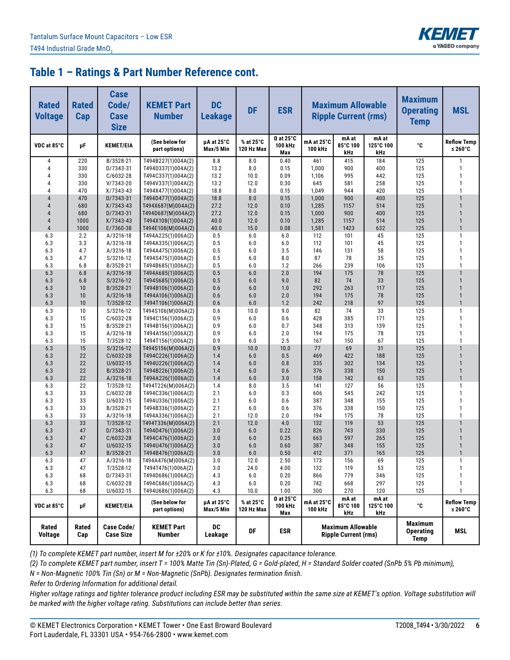

| <b>Rated</b><br><b>Voltage</b> | <b>Rated</b><br>Cap | <b>Case</b><br>Code/<br><b>Case</b><br><b>Size</b> | <b>KEMET Part</b><br><b>Number</b>       | <b>DC</b><br><b>Leakage</b> | <b>DF</b>               | <b>ESR</b>                                    |                       | <b>Maximum Allowable</b><br><b>Ripple Current (rms)</b> |                           | <b>Maximum</b><br><b>Operating</b><br><b>Temp</b> | <b>MSL</b>                       |
|--------------------------------|---------------------|----------------------------------------------------|------------------------------------------|-----------------------------|-------------------------|-----------------------------------------------|-----------------------|---------------------------------------------------------|---------------------------|---------------------------------------------------|----------------------------------|
| VDC at 85°C                    | μF                  | <b>KEMET/EIA</b>                                   | (See below for<br>part options)          | µA at 25°C<br>Max/5 Min     | % at 25°C<br>120 Hz Max | $\Omega$ at 25 $^{\circ}$ C<br>100 kHz<br>Max | mA at 25°C<br>100 kHz | mA at<br>85°C 100<br>kHz                                | mA at<br>125°C 100<br>kHz | °C                                                | <b>Reflow Temp</b><br>≤ 260 $°C$ |
| 4                              | 220                 | B/3528-21                                          | T494B227(1)004A(2)                       | 8.8                         | 8.0                     | 0.40                                          | 461                   | 415                                                     | 184                       | 125                                               | $\mathbf{1}$                     |
| 4                              | 330                 | D/7343-31                                          | T494D337(1)004A(2)                       | 13.2                        | 8.0                     | 0.15                                          | 1,000                 | 900                                                     | 400                       | 125                                               | $\mathbf{1}$                     |
| 4                              | 330                 | C/6032-28                                          | T494C337(1)004A(2)                       | 13.2                        | 10.0                    | 0.09                                          | 1,106                 | 995                                                     | 442                       | 125                                               | $\mathbf{1}$                     |
| Δ                              | 330                 | V/7343-20                                          | T494V337(1)004A(2)                       | 13.2                        | 12.0                    | 0.30                                          | 645                   | 581                                                     | 258                       | 125                                               | $\mathbf{1}$                     |
| 4<br>$\overline{4}$            | 470<br>470          | X/7343-43                                          | T494X477(1)004A(2)                       | 18.8<br>18.8                | 8.0                     | 0.15                                          | 1,049                 | 944                                                     | 420                       | 125<br>125                                        | $\mathbf{1}$<br>$\mathbf{1}$     |
| $\overline{4}$                 | 680                 | D/7343-31<br>X/7343-43                             | T494D477(1)004A(2)<br>T494X687(M)004A(2) | 27.2                        | 8.0<br>12.0             | 0.15<br>0.10                                  | 1,000<br>1,285        | 900<br>1157                                             | 400<br>514                | 125                                               | $\mathbf{1}$                     |
| 4                              | 680                 | D/7343-31                                          | T494D687(M)004A(2)                       | 27.2                        | 12.0                    | 0.15                                          | 1,000                 | 900                                                     | 400                       | 125                                               | $\overline{1}$                   |
| 4                              | 1000                | X/7343-43                                          | T494X108(1)004A(2)                       | 40.0                        | 12.0                    | 0.10                                          | 1,285                 | 1157                                                    | 514                       | 125                                               | $\mathbf{1}$                     |
| $\overline{4}$                 | 1000                | E/7360-38                                          | T494E108(M)004A(2)                       | 40.0                        | 15.0                    | 0.08                                          | 1,581                 | 1423                                                    | 632                       | 125                                               | $\overline{1}$                   |
| 6.3                            | 2.2                 | A/3216-18                                          | T494A225(1)006A(2)                       | 0.5                         | 6.0                     | 6.0                                           | 112                   | 101                                                     | 45                        | 125                                               | $\mathbf{1}$                     |
| 6.3                            | 3.3                 | A/3216-18                                          | T494A335(1)006A(2)                       | 0.5                         | 6.0                     | 6.0                                           | 112                   | 101                                                     | 45                        | 125                                               | $\mathbf{1}$                     |
| 6.3                            | 4.7                 | A/3216-18                                          | T494A475(1)006A(2)                       | 0.5                         | 6.0                     | 3.5                                           | 146                   | 131                                                     | 58                        | 125                                               | $\mathbf{1}$                     |
| 6.3                            | 4.7                 | S/3216-12                                          | T494S475(1)006A(2)                       | 0.5                         | 6.0                     | 8.0                                           | 87                    | 78                                                      | 35                        | 125                                               | $\mathbf{1}$                     |
| 6.3                            | 6.8                 | B/3528-21                                          | T494B685(1)006A(2)                       | 0.5                         | 6.0                     | 1.2                                           | 266                   | 239                                                     | 106                       | 125                                               | $\mathbf{1}$                     |
| 6.3                            | 6.8                 | A/3216-18                                          | T494A685(1)006A(2)                       | 0.5                         | 6.0                     | 2.0                                           | 194                   | 175                                                     | 78                        | 125                                               | $\mathbf{1}$                     |
| 6.3                            | 6.8                 | S/3216-12                                          | T494S685(1)006A(2)                       | 0.5                         | 6.0                     | 9.0                                           | 82                    | 74                                                      | 33                        | 125                                               | $\mathbf{1}$                     |
| 6.3                            | 10                  | B/3528-21                                          | T494B106(1)006A(2)                       | 0.6                         | 6.0                     | 1.0                                           | 292                   | 263                                                     | 117                       | 125                                               | $\overline{1}$                   |
| 6.3                            | 10                  | A/3216-18                                          | T494A106(1)006A(2)                       | 0.6                         | 6.0                     | 2.0                                           | 194                   | 175                                                     | 78                        | 125                                               | $\mathbf{1}$                     |
| 6.3                            | 10<br>10            | T/3528-12                                          | T494T106(1)006A(2)                       | 0.6                         | 6.0<br>10.0             | 1.2<br>9.0                                    | 242<br>82             | 218<br>74                                               | 97<br>33                  | 125<br>125                                        | $\mathbf{1}$<br>$\mathbf{1}$     |
| 6.3<br>6.3                     | 15                  | S/3216-12<br>C/6032-28                             | T494S106(M)006A(2)<br>T494C156(1)006A(2) | 0.6<br>0.9                  | 6.0                     | 0.6                                           | 428                   | 385                                                     | 171                       | 125                                               | $\mathbf{1}$                     |
| 6.3                            | 15                  | B/3528-21                                          | T494B156(1)006A(2)                       | 0.9                         | 6.0                     | 0.7                                           | 348                   | 313                                                     | 139                       | 125                                               | $\mathbf{1}$                     |
| 6.3                            | 15                  | A/3216-18                                          | T494A156(1)006A(2)                       | 0.9                         | 6.0                     | 2.0                                           | 194                   | 175                                                     | 78                        | 125                                               | $\mathbf{1}$                     |
| 6.3                            | 15                  | T/3528-12                                          | T494T156(1)006A(2)                       | 0.9                         | 6.0                     | 2.5                                           | 167                   | 150                                                     | 67                        | 125                                               | $\mathbf{1}$                     |
| 6.3                            | 15                  | S/3216-12                                          | T494S156(M)006A(2)                       | 0.9                         | 10.0                    | 10.0                                          | 77                    | 69                                                      | 31                        | 125                                               | $\mathbf{1}$                     |
| 6.3                            | 22                  | C/6032-28                                          | T494C226(1)006A(2)                       | 1.4                         | 6.0                     | 0.5                                           | 469                   | 422                                                     | 188                       | 125                                               | $\mathbf{1}$                     |
| 6.3                            | 22                  | U/6032-15                                          | T494U226(1)006A(2)                       | 1.4                         | 6.0                     | 0.8                                           | 335                   | 302                                                     | 134                       | 125                                               | $\mathbf{1}$                     |
| 6.3                            | 22                  | B/3528-21                                          | T494B226(1)006A(2)                       | 1.4                         | 6.0                     | 0.6                                           | 376                   | 338                                                     | 150                       | 125                                               | $\mathbf{1}$                     |
| 6.3                            | 22                  | A/3216-18                                          | T494A226(1)006A(2)                       | 1.4                         | 6.0                     | 3.0                                           | 158                   | 142                                                     | 63                        | 125                                               | $\overline{1}$                   |
| 6.3                            | 22                  | T/3528-12                                          | T494T226(M)006A(2)                       | 1.4                         | 8.0                     | 3.5                                           | 141                   | 127                                                     | 56                        | 125                                               | $\mathbf{1}$                     |
| 6.3                            | 33                  | C/6032-28                                          | T494C336(1)006A(2)                       | 2.1                         | 6.0                     | 0.3                                           | 606                   | 545                                                     | 242                       | 125                                               | $\mathbf{1}$                     |
| 6.3                            | 33                  | U/6032-15                                          | T494U336(1)006A(2)                       | 2.1                         | 6.0                     | 0.6                                           | 387                   | 348                                                     | 155                       | 125                                               | $\mathbf{1}$                     |
| 6.3                            | 33                  | B/3528-21                                          | T494B336(1)006A(2)                       | 2.1                         | 6.0                     | 0.6                                           | 376                   | 338                                                     | 150                       | 125                                               | $\mathbf{1}$                     |
| 6.3                            | 33                  | A/3216-18                                          | T494A336(1)006A(2)                       | 2.1<br>2.1                  | 12.0                    | 2.0                                           | 194                   | 175                                                     | 78                        | 125<br>125                                        | $\mathbf{1}$<br>$\mathbf{1}$     |
| 6.3<br>6.3                     | 33<br>47            | T/3528-12<br>D/7343-31                             | T494T336(M)006A(2)<br>T494D476(1)006A(2) | 3.0                         | 12.0<br>6.0             | 4.0<br>0.22                                   | 132<br>826            | 119<br>743                                              | 53<br>330                 | 125                                               | $\mathbf{1}$                     |
| 6.3                            | 47                  | C/6032-28                                          | T494C476(1)006A(2)                       | 3.0                         | 6.0                     | 0.25                                          | 663                   | 597                                                     | 265                       | 125                                               | $\mathbf{1}$                     |
| 6.3                            | 47                  | U/6032-15                                          | T494U476(1)006A(2)                       | 3.0                         | 6.0                     | 0.60                                          | 387                   | 348                                                     | 155                       | 125                                               | $\mathbf{1}$                     |
| 6.3                            | 47                  | B/3528-21                                          | T494B476(1)006A(2)                       | 3.0                         | 6.0                     | 0.50                                          | 412                   | 371                                                     | 165                       | 125                                               | $\mathbf{1}$                     |
| 6.3                            | 47                  | A/3216-18                                          | T494A476(M)006A(2)                       | 3.0                         | 12.0                    | 2.50                                          | 173                   | 156                                                     | 69                        | 125                                               |                                  |
| 6.3                            | 47                  | T/3528-12                                          | T494T476(1)006A(2)                       | 3.0                         | 24.0                    | 4.00                                          | 132                   | 119                                                     | 53                        | 125                                               | $\mathbf{1}$                     |
| 6.3                            | 68                  | D/7343-31                                          | T494D686(1)006A(2)                       | 4.3                         | 6.0                     | 0.20                                          | 866                   | 779                                                     | 346                       | 125                                               | $\mathbf{1}$                     |
| 6.3                            | 68                  | C/6032-28                                          | T494C686(1)006A(2)                       | 4.3                         | 6.0                     | 0.20                                          | 742                   | 668                                                     | 297                       | 125                                               | $\mathbf{1}$                     |
| 6.3                            | 68                  | U/6032-15                                          | T494U686(1)006A(2)                       | 4.3                         | 10.0                    | 1.00                                          | 300                   | 270                                                     | 120                       | 125                                               | 1                                |
| VDC at 85°C                    | μF                  | <b>KEMET/EIA</b>                                   | (See below for<br>part options)          | µA at 25°C<br>Max/5 Min     | % at 25°C<br>120 Hz Max | $\Omega$ at 25°C<br>100 kHz<br>Max            | mA at 25°C<br>100 kHz | mA at<br>85°C 100<br>kHz                                | mA at<br>125°C 100<br>kHz | °C                                                | <b>Reflow Temp</b><br>≤ 260 $°C$ |
| Rated<br><b>Voltage</b>        | Rated<br>Cap        | <b>Case Code/</b><br><b>Case Size</b>              | <b>KEMET Part</b><br>Number              | DC<br>Leakage               | DF                      | <b>ESR</b>                                    |                       | <b>Maximum Allowable</b><br><b>Ripple Current (rms)</b> |                           | <b>Maximum</b><br><b>Operating</b><br><b>Temp</b> | MSL                              |

*(1) To complete KEMET part number, insert M for ±20% or K for ±10%. Designates capacitance tolerance.*

*(2) To complete KEMET part number, insert T = 100% Matte Tin (Sn)-Plated, G = Gold-plated, H = Standard Solder coated (SnPb 5% Pb minimum),*

*N = Non-Magnetic 100% Tin (Sn) or M = Non-Magnetic (SnPb). Designates termination finish.*

*Refer to Ordering Information for additional detail.*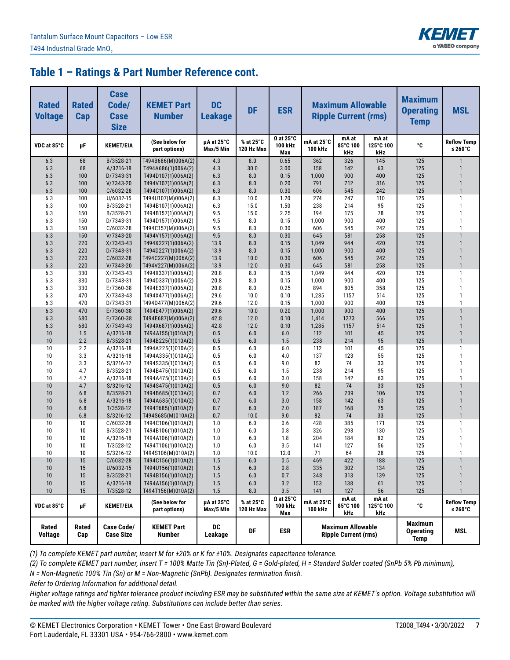

| <b>Rated</b><br><b>Voltage</b> | <b>Rated</b><br>Cap | <b>Case</b><br>Code/<br><b>Case</b><br><b>Size</b> | <b>KEMET Part</b><br><b>Number</b>       | <b>DC</b><br><b>Leakage</b> | <b>DF</b>               | <b>ESR</b>                         |                              | <b>Maximum Allowable</b><br><b>Ripple Current (rms)</b> |                           | <b>Maximum</b><br><b>Operating</b><br><b>Temp</b> | <b>MSL</b>                       |
|--------------------------------|---------------------|----------------------------------------------------|------------------------------------------|-----------------------------|-------------------------|------------------------------------|------------------------------|---------------------------------------------------------|---------------------------|---------------------------------------------------|----------------------------------|
| VDC at 85°C                    | μF                  | <b>KEMET/EIA</b>                                   | (See below for<br>part options)          | µA at 25°C<br>Max/5 Min     | % at 25°C<br>120 Hz Max | $\Omega$ at 25°C<br>100 kHz<br>Max | mA at 25°C<br><b>100 kHz</b> | mA at<br>85°C 100<br>kHz                                | mA at<br>125°C 100<br>kHz | °C                                                | <b>Reflow Temp</b><br>≤ 260 $°C$ |
| 6.3                            | 68                  | B/3528-21                                          | T494B686(M)006A(2)                       | 4.3                         | 8.0                     | 0.65                               | 362                          | 326                                                     | 145                       | 125                                               | $\overline{1}$                   |
| 6.3                            | 68                  | A/3216-18                                          | T494A686(1)006A(2)                       | 4.3                         | 30.0                    | 3.00                               | 158                          | 142                                                     | 63                        | 125                                               | $\mathbf{1}$                     |
| 6.3                            | 100                 | D/7343-31                                          | T494D107(1)006A(2)                       | 6.3                         | 8.0                     | 0.15                               | 1,000                        | 900                                                     | 400                       | 125                                               | $\mathbf{1}$                     |
| 6.3                            | 100                 | $V/7343-20$                                        | T494V107(1)006A(2)                       | 6.3                         | 8.0                     | 0.20                               | 791                          | 712                                                     | 316                       | 125                                               | $\mathbf{1}$<br>$\mathbf{1}$     |
| 6.3<br>6.3                     | 100                 | C/6032-28                                          | T494C107(1)006A(2)                       | 6.3                         | 8.0<br>10.0             | 0.30                               | 606<br>274                   | 545<br>247                                              | 242<br>110                | 125<br>125                                        | $\mathbf{1}$                     |
| 6.3                            | 100<br>100          | U/6032-15<br>B/3528-21                             | T494U107(M)006A(2)<br>T494B107(1)006A(2) | 6.3<br>6.3                  | 15.0                    | 1.20<br>1.50                       | 238                          | 214                                                     | 95                        | 125                                               | $\mathbf{1}$                     |
| 6.3                            | 150                 | B/3528-21                                          | T494B157(1)006A(2)                       | 9.5                         | 15.0                    | 2.25                               | 194                          | 175                                                     | 78                        | 125                                               | $\mathbf{1}$                     |
| 6.3                            | 150                 | D/7343-31                                          | T494D157(1)006A(2)                       | 9.5                         | 8.0                     | 0.15                               | 1,000                        | 900                                                     | 400                       | 125                                               | $\mathbf{1}$                     |
| 6.3                            | 150                 | C/6032-28                                          | T494C157(M)006A(2)                       | 9.5                         | 8.0                     | 0.30                               | 606                          | 545                                                     | 242                       | 125                                               | $\mathbf{1}$                     |
| 6.3                            | 150                 | $V/7343-20$                                        | T494V157(1)006A(2)                       | 9.5                         | 8.0                     | 0.30                               | 645                          | 581                                                     | 258                       | 125                                               | $\overline{1}$                   |
| 6.3                            | 220                 | $X/7343-43$                                        | T494X227(1)006A(2)                       | 13.9                        | 8.0                     | 0.15                               | 1,049                        | 944                                                     | 420                       | 125                                               | $\mathbf{1}$                     |
| 6.3                            | 220                 | D/7343-31                                          | T494D227(1)006A(2)                       | 13.9                        | 8.0                     | 0.15                               | 1,000                        | 900                                                     | 400                       | 125                                               | $\mathbf{1}$                     |
| 6.3                            | 220                 | C/6032-28                                          | T494C227(M)006A(2)                       | 13.9                        | 10.0                    | 0.30                               | 606                          | 545                                                     | 242                       | 125                                               | $\mathbf{1}$                     |
| 6.3                            | 220                 | $V/7343-20$                                        | T494V227(M)006A(2)                       | 13.9                        | 12.0                    | 0.30                               | 645                          | 581                                                     | 258                       | 125                                               | $\mathbf{1}$                     |
| 6.3                            | 330                 | $X/7343-43$                                        | T494X337(1)006A(2)                       | 20.8                        | 8.0                     | 0.15                               | 1,049                        | 944                                                     | 420                       | 125                                               | $\mathbf{1}$                     |
| 6.3                            | 330                 | D/7343-31                                          | T494D337(1)006A(2)                       | 20.8                        | 8.0                     | 0.15                               | 1,000                        | 900                                                     | 400                       | 125                                               | $\mathbf{1}$                     |
| 6.3                            | 330                 | E/7360-38                                          | T494E337(1)006A(2)                       | 20.8                        | 8.0                     | 0.25                               | 894                          | 805                                                     | 358                       | 125                                               | $\mathbf{1}$                     |
| 6.3                            | 470                 | X/7343-43                                          | T494X477(1)006A(2)                       | 29.6                        | 10.0                    | 0.10                               | 1,285                        | 1157                                                    | 514                       | 125                                               | $\mathbf{1}$                     |
| 6.3<br>6.3                     | 470<br>470          | D/7343-31<br>E/7360-38                             | T494D477(M)006A(2)<br>T494E477(1)006A(2) | 29.6<br>29.6                | 12.0<br>10.0            | 0.15<br>0.20                       | 1,000<br>1,000               | 900<br>900                                              | 400<br>400                | 125<br>125                                        | $\mathbf{1}$<br>$\overline{1}$   |
| 6.3                            | 680                 | E/7360-38                                          | T494E687(M)006A(2)                       | 42.8                        | 12.0                    | 0.10                               | 1,414                        | 1273                                                    | 566                       | 125                                               | $\overline{1}$                   |
| 6.3                            | 680                 | $X/7343-43$                                        | T494X687(1)006A(2)                       | 42.8                        | 12.0                    | 0.10                               | 1,285                        | 1157                                                    | 514                       | 125                                               | $\overline{1}$                   |
| 10                             | 1.5                 | A/3216-18                                          | T494A155(1)010A(2)                       | 0.5                         | 6.0                     | 6.0                                | 112                          | 101                                                     | 45                        | 125                                               | $\mathbf{1}$                     |
| 10                             | 2.2                 | B/3528-21                                          | T494B225(1)010A(2)                       | 0.5                         | 6.0                     | 1.5                                | 238                          | 214                                                     | 95                        | 125                                               | $\overline{1}$                   |
| 10                             | 2.2                 | A/3216-18                                          | T494A225(1)010A(2)                       | 0.5                         | 6.0                     | 6.0                                | 112                          | 101                                                     | 45                        | 125                                               | $\mathbf{1}$                     |
| 10                             | 3.3                 | A/3216-18                                          | T494A335(1)010A(2)                       | 0.5                         | 6.0                     | 4.0                                | 137                          | 123                                                     | 55                        | 125                                               | $\overline{1}$                   |
| 10                             | 3.3                 | S/3216-12                                          | T494S335(1)010A(2)                       | 0.5                         | 6.0                     | 9.0                                | 82                           | 74                                                      | 33                        | 125                                               | $\mathbf{1}$                     |
| 10                             | 4.7                 | B/3528-21                                          | T494B475(1)010A(2)                       | 0.5                         | 6.0                     | 1.5                                | 238                          | 214                                                     | 95                        | 125                                               | $\mathbf{1}$                     |
| 10                             | 4.7                 | A/3216-18                                          | T494A475(1)010A(2)                       | 0.5                         | 6.0                     | 3.0                                | 158                          | 142                                                     | 63                        | 125                                               | $\mathbf{1}$                     |
| 10                             | 4.7                 | S/3216-12                                          | T494S475(1)010A(2)                       | 0.5                         | 6.0                     | 9.0                                | 82                           | 74                                                      | 33                        | 125                                               | $\overline{1}$                   |
| 10                             | 6.8                 | B/3528-21                                          | T494B685(1)010A(2)                       | 0.7                         | 6.0                     | 1.2                                | 266                          | 239                                                     | 106                       | 125                                               | $\overline{1}$                   |
| 10                             | 6.8                 | A/3216-18                                          | T494A685(1)010A(2)                       | 0.7                         | 6.0                     | 3.0                                | 158                          | 142                                                     | 63                        | 125                                               | $\overline{1}$                   |
| 10                             | 6.8                 | T/3528-12                                          | T494T685(1)010A(2)                       | 0.7                         | 6.0                     | 2.0                                | 187                          | 168                                                     | 75                        | 125                                               | $\mathbf{1}$<br>$\mathbf{1}$     |
| 10<br>10                       | 6.8<br>10           | S/3216-12<br>C/6032-28                             | T494S685(M)010A(2)                       | 0.7<br>1.0                  | 10.0<br>6.0             | 9.0<br>0.6                         | 82<br>428                    | 74<br>385                                               | 33<br>171                 | 125<br>125                                        | $\mathbf{1}$                     |
| 10                             | 10                  | B/3528-21                                          | T494C106(1)010A(2)<br>T494B106(1)010A(2) | 1.0                         | 6.0                     | 0.8                                | 326                          | 293                                                     | 130                       | 125                                               | $\mathbf{1}$                     |
| 10                             | 10                  | A/3216-18                                          | T494A106(1)010A(2)                       | 1.0                         | 6.0                     | 1.8                                | 204                          | 184                                                     | 82                        | 125                                               | $\mathbf{1}$                     |
| 10                             | 10                  | T/3528-12                                          | T494T106(1)010A(2)                       | 1.0                         | 6.0                     | 3.5                                | 141                          | 127                                                     | 56                        | 125                                               | $\mathbf{1}$                     |
| 10                             | 10                  | S/3216-12                                          | T494S106(M)010A(2)                       | 1.0                         | 10.0                    | 12.0                               | 71                           | 64                                                      | 28                        | 125                                               | $\mathbf{1}$                     |
| Ίθ                             | 15                  | C/6032-28                                          | 1494C156(1)010A(2)                       | 1.5                         | 6.0                     | 0.5                                | 469                          | 422                                                     | 188                       | 125                                               |                                  |
| 10                             | 15                  | U/6032-15                                          | T494U156(1)010A(2)                       | 1.5                         | 6.0                     | 0.8                                | 335                          | 302                                                     | 134                       | 125                                               | $\mathbf{1}$                     |
| 10                             | 15                  | B/3528-21                                          | T494B156(1)010A(2)                       | 1.5                         | 6.0                     | 0.7                                | 348                          | 313                                                     | 139                       | 125                                               | $\mathbf{1}$                     |
| 10                             | 15                  | A/3216-18                                          | T494A156(1)010A(2)                       | 1.5                         | 6.0                     | 3.2                                | 153                          | 138                                                     | 61                        | 125                                               | $\mathbf{1}$                     |
| 10                             | 15                  | T/3528-12                                          | T494T156(M)010A(2)                       | 1.5                         | $8.0\,$                 | $3.5\,$                            | 141                          | 127                                                     | 56                        | 125                                               | $\mathbf{1}$                     |
| VDC at 85°C                    | μF                  | <b>KEMET/EIA</b>                                   | (See below for<br>part options)          | µA at 25°C<br>Max/5 Min     | % at 25°C<br>120 Hz Max | $\Omega$ at 25°C<br>100 kHz<br>Max | mA at 25°C<br>100 kHz        | mA at<br>85°C 100<br>kHz                                | mA at<br>125°C 100<br>kHz | °C                                                | <b>Reflow Temp</b><br>≤ 260 $°C$ |
| Rated<br><b>Voltage</b>        | Rated<br>Cap        | <b>Case Code/</b><br><b>Case Size</b>              | <b>KEMET Part</b><br><b>Number</b>       | DC<br>Leakage               | DF                      | <b>ESR</b>                         |                              | <b>Maximum Allowable</b><br><b>Ripple Current (rms)</b> |                           | <b>Maximum</b><br><b>Operating</b><br>Temp        | MSL                              |

*(1) To complete KEMET part number, insert M for ±20% or K for ±10%. Designates capacitance tolerance.*

*(2) To complete KEMET part number, insert T = 100% Matte Tin (Sn)-Plated, G = Gold-plated, H = Standard Solder coated (SnPb 5% Pb minimum),*

*N = Non-Magnetic 100% Tin (Sn) or M = Non-Magnetic (SnPb). Designates termination finish.*

*Refer to Ordering Information for additional detail.*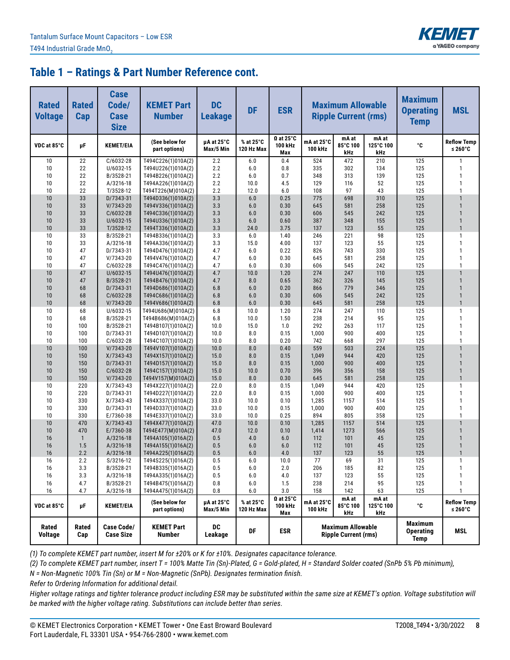

| <b>Rated</b><br><b>Voltage</b> | <b>Rated</b><br>Cap | <b>Case</b><br>Code/<br><b>Case</b><br><b>Size</b> | <b>KEMET Part</b><br><b>Number</b>       | <b>DC</b><br><b>Leakage</b> | <b>DF</b>               | <b>ESR</b>                         |                       | <b>Maximum Allowable</b><br><b>Ripple Current (rms)</b> |                           | <b>Maximum</b><br><b>Operating</b><br><b>Temp</b> | <b>MSL</b>                       |
|--------------------------------|---------------------|----------------------------------------------------|------------------------------------------|-----------------------------|-------------------------|------------------------------------|-----------------------|---------------------------------------------------------|---------------------------|---------------------------------------------------|----------------------------------|
| VDC at 85°C                    | μF                  | <b>KEMET/EIA</b>                                   | (See below for<br>part options)          | µA at 25°C<br>Max/5 Min     | % at 25°C<br>120 Hz Max | $\Omega$ at 25°C<br>100 kHz<br>Max | mA at 25°C<br>100 kHz | mA at<br>85°C 100<br>kHz                                | mA at<br>125°C 100<br>kHz | °C                                                | <b>Reflow Temp</b><br>≤ 260 $°C$ |
| 10                             | 22                  | C/6032-28                                          | T494C226(1)010A(2)                       | 2.2                         | 6.0                     | 0.4                                | 524                   | 472                                                     | 210                       | 125                                               | $\mathbf{1}$                     |
| 10                             | 22                  | U/6032-15                                          | T494U226(1)010A(2)                       | 2.2                         | 6.0                     | 0.8                                | 335                   | 302                                                     | 134                       | 125                                               | $\mathbf{1}$                     |
| 10                             | 22                  | B/3528-21                                          | T494B226(1)010A(2)                       | 2.2                         | 6.0                     | 0.7                                | 348                   | 313                                                     | 139                       | 125                                               | $\mathbf{1}$                     |
| 10                             | 22                  | A/3216-18                                          | T494A226(1)010A(2)                       | 2.2                         | 10.0                    | 4.5                                | 129                   | 116                                                     | 52                        | 125                                               | $\mathbf{1}$                     |
| 10                             | 22                  | T/3528-12                                          | T494T226(M)010A(2)                       | 2.2                         | 12.0                    | 6.0                                | 108                   | 97                                                      | 43                        | 125                                               | $\mathbf{1}$                     |
| 10<br>10                       | 33<br>33            | D/7343-31<br>V/7343-20                             | T494D336(1)010A(2)<br>T494V336(1)010A(2) | 3.3<br>3.3                  | 6.0<br>6.0              | 0.25<br>0.30                       | 775<br>645            | 698<br>581                                              | 310<br>258                | 125<br>125                                        | $\mathbf{1}$<br>$\mathbf{1}$     |
| 10                             | 33                  | C/6032-28                                          | T494C336(1)010A(2)                       | 3.3                         | 6.0                     | 0.30                               | 606                   | 545                                                     | 242                       | 125                                               | $\mathbf{1}$                     |
| 10                             | 33                  | U/6032-15                                          | T494U336(1)010A(2)                       | 3.3                         | 6.0                     | 0.60                               | 387                   | 348                                                     | 155                       | 125                                               | $\mathbf{1}$                     |
| 10                             | 33                  | T/3528-12                                          | T494T336(1)010A(2)                       | 3.3                         | 24.0                    | 3.75                               | 137                   | 123                                                     | 55                        | 125                                               | $\mathbf{1}$                     |
| 10                             | 33                  | B/3528-21                                          | T494B336(1)010A(2)                       | 3.3                         | 6.0                     | 1.40                               | 246                   | 221                                                     | 98                        | 125                                               | $\mathbf{1}$                     |
| 10                             | 33                  | A/3216-18                                          | T494A336(1)010A(2)                       | 3.3                         | 15.0                    | 4.00                               | 137                   | 123                                                     | 55                        | 125                                               | $\mathbf{1}$                     |
| 10                             | 47                  | D/7343-31                                          | T494D476(1)010A(2)                       | 4.7                         | 6.0                     | 0.22                               | 826                   | 743                                                     | 330                       | 125                                               | $\mathbf{1}$                     |
| 10                             | 47                  | V/7343-20                                          | T494V476(1)010A(2)                       | 4.7                         | 6.0                     | 0.30                               | 645                   | 581                                                     | 258                       | 125                                               | $\mathbf{1}$                     |
| 10                             | 47                  | C/6032-28                                          | T494C476(1)010A(2)                       | 4.7                         | 6.0                     | 0.30                               | 606                   | 545                                                     | 242                       | 125                                               | $\mathbf{1}$                     |
| 10                             | 47                  | U/6032-15                                          | T494U476(1)010A(2)                       | 4.7                         | 10.0                    | 1.20                               | 274                   | 247                                                     | 110                       | 125                                               | $\mathbf{1}$                     |
| 10                             | 47                  | B/3528-21                                          | T494B476(1)010A(2)                       | 4.7                         | 8.0                     | 0.65                               | 362                   | 326                                                     | 145                       | 125                                               | $\mathbf{1}$                     |
| 10                             | 68                  | D/7343-31                                          | T494D686(1)010A(2)                       | 6.8                         | 6.0                     | 0.20                               | 866                   | 779                                                     | 346                       | 125                                               | $\mathbf{1}$                     |
| 10                             | 68                  | C/6032-28                                          | T494C686(1)010A(2)                       | 6.8                         | 6.0                     | 0.30                               | 606                   | 545                                                     | 242                       | 125                                               | $\mathbf{1}$<br>$\mathbf{1}$     |
| 10                             | 68                  | V/7343-20                                          | T494V686(1)010A(2)                       | 6.8                         | 6.0                     | 0.30                               | 645<br>274            | 581                                                     | 258                       | 125<br>125                                        | $\mathbf{1}$                     |
| 10<br>10                       | 68<br>68            | U/6032-15<br>B/3528-21                             | T494U686(M)010A(2)<br>T494B686(M)010A(2) | 6.8<br>6.8                  | 10.0<br>10.0            | 1.20<br>1.50                       | 238                   | 247<br>214                                              | 110<br>95                 | 125                                               | $\mathbf{1}$                     |
| 10                             | 100                 | B/3528-21                                          | T494B107(1)010A(2)                       | 10.0                        | 15.0                    | 1.0                                | 292                   | 263                                                     | 117                       | 125                                               | $\mathbf{1}$                     |
| 10                             | 100                 | D/7343-31                                          | T494D107(1)010A(2)                       | 10.0                        | 8.0                     | 0.15                               | 1,000                 | 900                                                     | 400                       | 125                                               | $\mathbf{1}$                     |
| 10                             | 100                 | C/6032-28                                          | T494C107(1)010A(2)                       | 10.0                        | 8.0                     | 0.20                               | 742                   | 668                                                     | 297                       | 125                                               | $\mathbf{1}$                     |
| 10                             | 100                 | V/7343-20                                          | T494V107(1)010A(2)                       | 10.0                        | 8.0                     | 0.40                               | 559                   | 503                                                     | 224                       | 125                                               | $\mathbf{1}$                     |
| 10                             | 150                 | X/7343-43                                          | T494X157(1)010A(2)                       | 15.0                        | 8.0                     | 0.15                               | 1,049                 | 944                                                     | 420                       | 125                                               | $\mathbf{1}$                     |
| 10                             | 150                 | D/7343-31                                          | T494D157(1)010A(2)                       | 15.0                        | 8.0                     | 0.15                               | 1,000                 | 900                                                     | 400                       | 125                                               | $\mathbf{1}$                     |
| 10                             | 150                 | C/6032-28                                          | T494C157(1)010A(2)                       | 15.0                        | 10.0                    | 0.70                               | 396                   | 356                                                     | 158                       | 125                                               | $\mathbf{1}$                     |
| 10                             | 150                 | V/7343-20                                          | T494V157(M)010A(2)                       | 15.0                        | 8.0                     | 0.30                               | 645                   | 581                                                     | 258                       | 125                                               | $\mathbf{1}$                     |
| 10                             | 220                 | $X/7343-43$                                        | T494X227(1)010A(2)                       | 22.0                        | 8.0                     | 0.15                               | 1,049                 | 944                                                     | 420                       | 125                                               | $\mathbf{1}$                     |
| 10                             | 220                 | D/7343-31                                          | T494D227(1)010A(2)                       | 22.0                        | 8.0                     | 0.15                               | 1,000                 | 900                                                     | 400                       | 125                                               | $\mathbf{1}$                     |
| 10                             | 330                 | X/7343-43                                          | T494X337(1)010A(2)                       | 33.0                        | 10.0                    | 0.10                               | 1,285                 | 1157                                                    | 514                       | 125                                               | $\mathbf{1}$                     |
| 10                             | 330                 | D/7343-31                                          | T494D337(1)010A(2)                       | 33.0                        | 10.0                    | 0.15                               | 1,000                 | 900                                                     | 400                       | 125                                               | $\mathbf{1}$                     |
| 10                             | 330                 | E/7360-38                                          | T494E337(1)010A(2)                       | 33.0                        | 10.0                    | 0.25                               | 894                   | 805                                                     | 358                       | 125<br>125                                        | $\mathbf{1}$<br>$\mathbf{1}$     |
| 10<br>10                       | 470<br>470          | $X/7343-43$<br>E/7360-38                           | T494X477(1)010A(2)<br>T494E477(M)010A(2) | 47.0<br>47.0                | 10.0<br>12.0            | 0.10<br>0.10                       | 1,285<br>1,414        | 1157<br>1273                                            | 514<br>566                | 125                                               | $\mathbf{1}$                     |
| 16                             | 1                   | A/3216-18                                          | T494A105(1)016A(2)                       | 0.5                         | 4.0                     | 6.0                                | 112                   | 101                                                     | 45                        | 125                                               | $\mathbf{1}$                     |
| 16                             | 1.5                 | A/3216-18                                          | T494A155(1)016A(2)                       | 0.5                         | 6.0                     | 6.0                                | 112                   | 101                                                     | 45                        | 125                                               | $\mathbf{1}$                     |
| 16                             | 2.2                 | A/3216-18                                          | T494A225(1)016A(2)                       | 0.5                         | 6.0                     | 4.0                                | 137                   | 123                                                     | 55                        | 125                                               | $\mathbf{1}$                     |
| 16                             | 2.2                 | S/3216-12                                          | T494S225(1)016A(2)                       | $0.5\,$                     | 6.0                     | 10.0                               | 77                    | 69                                                      | 31                        | 125                                               |                                  |
| 16                             | 3.3                 | B/3528-21                                          | T494B335(1)016A(2)                       | 0.5                         | 6.0                     | 2.0                                | 206                   | 185                                                     | 82                        | 125                                               | $\mathbf{1}$                     |
| 16                             | 3.3                 | A/3216-18                                          | T494A335(1)016A(2)                       | 0.5                         | 6.0                     | 4.0                                | 137                   | 123                                                     | 55                        | 125                                               | 1                                |
| 16                             | 4.7                 | B/3528-21                                          | T494B475(1)016A(2)                       | 0.8                         | 6.0                     | 1.5                                | 238                   | 214                                                     | 95                        | 125                                               | $\mathbf{1}$                     |
| 16                             | 4.7                 | A/3216-18                                          | T494A475(1)016A(2)                       | 0.8                         | 6.0                     | 3.0                                | 158                   | 142                                                     | 63                        | 125                                               | $\mathbf{1}$                     |
| VDC at 85°C                    | μF                  | <b>KEMET/EIA</b>                                   | (See below for<br>part options)          | µA at 25°C<br>Max/5 Min     | % at 25°C<br>120 Hz Max | $\Omega$ at 25°C<br>100 kHz<br>Max | mA at 25°C<br>100 kHz | mA at<br>85°C 100<br>kHz                                | mA at<br>125°C 100<br>kHz | °C                                                | <b>Reflow Temp</b><br>≤ 260 $°C$ |
| Rated<br><b>Voltage</b>        | Rated<br>Cap        | <b>Case Code/</b><br><b>Case Size</b>              | <b>KEMET Part</b><br>Number              | DC<br>Leakage               | DF                      | <b>ESR</b>                         |                       | <b>Maximum Allowable</b><br><b>Ripple Current (rms)</b> |                           | Maximum<br><b>Operating</b><br><b>Temp</b>        | MSL                              |

*(1) To complete KEMET part number, insert M for ±20% or K for ±10%. Designates capacitance tolerance.*

*(2) To complete KEMET part number, insert T = 100% Matte Tin (Sn)-Plated, G = Gold-plated, H = Standard Solder coated (SnPb 5% Pb minimum),*

*N = Non-Magnetic 100% Tin (Sn) or M = Non-Magnetic (SnPb). Designates termination finish.*

*Refer to Ordering Information for additional detail.*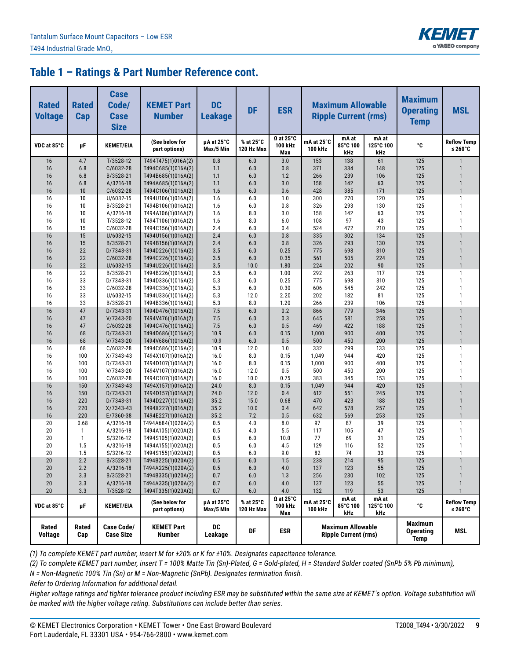

| <b>Rated</b><br><b>Voltage</b> | <b>Rated</b><br>Cap | <b>Case</b><br>Code/<br><b>Case</b><br><b>Size</b> | <b>KEMET Part</b><br><b>Number</b>       | <b>DC</b><br><b>Leakage</b> | <b>DF</b>               | <b>ESR</b>                         |                       | <b>Maximum Allowable</b><br><b>Ripple Current (rms)</b> |                           | <b>Maximum</b><br><b>Operating</b><br><b>Temp</b> | <b>MSL</b>                       |
|--------------------------------|---------------------|----------------------------------------------------|------------------------------------------|-----------------------------|-------------------------|------------------------------------|-----------------------|---------------------------------------------------------|---------------------------|---------------------------------------------------|----------------------------------|
| VDC at 85°C                    | μF                  | <b>KEMET/EIA</b>                                   | (See below for<br>part options)          | µA at 25°C<br>Max/5 Min     | % at 25°C<br>120 Hz Max | $\Omega$ at 25°C<br>100 kHz<br>Max | mA at 25°C<br>100 kHz | mA at<br>85°C 100<br>kHz                                | mA at<br>125°C 100<br>kHz | °C                                                | <b>Reflow Temp</b><br>≤ 260 $°C$ |
| 16                             | 4.7                 | T/3528-12                                          | T494T475(1)016A(2)                       | 0.8                         | 6.0                     | 3.0                                | 153                   | 138                                                     | 61                        | 125                                               | $\mathbf{1}$                     |
| 16                             | 6.8                 | C/6032-28                                          | T494C685(1)016A(2)                       | 1.1                         | 6.0                     | 0.8                                | 371                   | 334                                                     | 148                       | 125                                               | $\mathbf{1}$                     |
| 16                             | 6.8                 | B/3528-21                                          | T494B685(1)016A(2)                       | 1.1                         | 6.0                     | 1.2                                | 266                   | 239                                                     | 106                       | 125                                               | $\mathbf{1}$                     |
| 16                             | 6.8                 | A/3216-18                                          | T494A685(1)016A(2)                       | 1.1                         | 6.0                     | 3.0                                | 158                   | 142                                                     | 63                        | 125                                               | $\mathbf{1}$<br>$\overline{1}$   |
| 16                             | 10<br>10            | C/6032-28                                          | T494C106(1)016A(2)                       | 1.6<br>1.6                  | 6.0<br>6.0              | 0.6                                | 428<br>300            | 385<br>270                                              | 171<br>120                | 125<br>125                                        | $\mathbf{1}$                     |
| 16<br>16                       | 10                  | U/6032-15<br>B/3528-21                             | T494U106(1)016A(2)<br>T494B106(1)016A(2) | 1.6                         | 6.0                     | 1.0<br>0.8                         | 326                   | 293                                                     | 130                       | 125                                               | $\overline{1}$                   |
| 16                             | 10                  | A/3216-18                                          | T494A106(1)016A(2)                       | 1.6                         | 8.0                     | 3.0                                | 158                   | 142                                                     | 63                        | 125                                               | $\mathbf{1}$                     |
| 16                             | 10                  | T/3528-12                                          | T494T106(1)016A(2)                       | 1.6                         | 8.0                     | 6.0                                | 108                   | 97                                                      | 43                        | 125                                               | $\mathbf{1}$                     |
| 16                             | 15                  | $C/6032-28$                                        | T494C156(1)016A(2)                       | 2.4                         | 6.0                     | 0.4                                | 524                   | 472                                                     | 210                       | 125                                               | $\mathbf{1}$                     |
| 16                             | 15                  | U/6032-15                                          | T494U156(1)016A(2)                       | 2.4                         | 6.0                     | 0.8                                | 335                   | 302                                                     | 134                       | 125                                               | $\mathbf{1}$                     |
| 16                             | 15                  | B/3528-21                                          | T494B156(1)016A(2)                       | 2.4                         | 6.0                     | 0.8                                | 326                   | 293                                                     | 130                       | 125                                               | $\mathbf{1}$                     |
| 16                             | 22                  | D/7343-31                                          | T494D226(1)016A(2)                       | 3.5                         | 6.0                     | 0.25                               | 775                   | 698                                                     | 310                       | 125                                               | $\mathbf{1}$                     |
| 16                             | 22                  | $C/6032-28$                                        | T494C226(1)016A(2)                       | 3.5                         | 6.0                     | 0.35                               | 561                   | 505                                                     | 224                       | 125                                               | $\mathbf{1}$                     |
| 16                             | 22                  | U/6032-15                                          | T494U226(1)016A(2)                       | 3.5                         | 10.0                    | 1.80                               | 224                   | 202                                                     | 90                        | 125                                               | $\mathbf{1}$                     |
| 16                             | 22                  | B/3528-21                                          | T494B226(1)016A(2)                       | 3.5                         | 6.0                     | 1.00                               | 292                   | 263                                                     | 117                       | 125                                               | $\mathbf{1}$                     |
| 16                             | 33                  | D/7343-31                                          | T494D336(1)016A(2)                       | 5.3                         | 6.0                     | 0.25                               | 775                   | 698                                                     | 310                       | 125                                               | $\overline{1}$                   |
| 16                             | 33                  | C/6032-28                                          | T494C336(1)016A(2)                       | 5.3                         | 6.0                     | 0.30                               | 606                   | 545                                                     | 242                       | 125                                               | $\mathbf{1}$                     |
| 16                             | 33                  | U/6032-15                                          | T494U336(1)016A(2)                       | 5.3                         | 12.0                    | 2.20                               | 202                   | 182                                                     | 81                        | 125                                               | $\mathbf{1}$                     |
| 16<br>16                       | 33<br>47            | B/3528-21<br>D/7343-31                             | T494B336(1)016A(2)<br>T494D476(1)016A(2) | 5.3<br>7.5                  | 8.0<br>6.0              | 1.20<br>0.2                        | 266<br>866            | 239<br>779                                              | 106<br>346                | 125<br>125                                        | $\mathbf{1}$<br>$\mathbf{1}$     |
| 16                             | 47                  | $V/7343-20$                                        | T494V476(1)016A(2)                       | 7.5                         | 6.0                     | 0.3                                | 645                   | 581                                                     | 258                       | 125                                               | $\mathbf{1}$                     |
| 16                             | 47                  | C/6032-28                                          | T494C476(1)016A(2)                       | 7.5                         | 6.0                     | 0.5                                | 469                   | 422                                                     | 188                       | 125                                               | $\mathbf{1}$                     |
| 16                             | 68                  | D/7343-31                                          | T494D686(1)016A(2)                       | 10.9                        | 6.0                     | 0.15                               | 1,000                 | 900                                                     | 400                       | 125                                               | $\mathbf{1}$                     |
| 16                             | 68                  | V/7343-20                                          | T494V686(1)016A(2)                       | 10.9                        | 6.0                     | 0.5                                | 500                   | 450                                                     | 200                       | 125                                               | $\mathbf{1}$                     |
| 16                             | 68                  | C/6032-28                                          | T494C686(1)016A(2)                       | 10.9                        | 12.0                    | 1.0                                | 332                   | 299                                                     | 133                       | 125                                               | $\mathbf{1}$                     |
| 16                             | 100                 | $X/7343-43$                                        | T494X107(1)016A(2)                       | 16.0                        | 8.0                     | 0.15                               | 1,049                 | 944                                                     | 420                       | 125                                               | $\overline{1}$                   |
| 16                             | 100                 | D/7343-31                                          | T494D107(1)016A(2)                       | 16.0                        | 8.0                     | 0.15                               | 1,000                 | 900                                                     | 400                       | 125                                               | $\mathbf{1}$                     |
| 16                             | 100                 | V/7343-20                                          | T494V107(1)016A(2)                       | 16.0                        | 12.0                    | 0.5                                | 500                   | 450                                                     | 200                       | 125                                               | $\mathbf{1}$                     |
| 16                             | 100                 | C/6032-28                                          | T494C107(1)016A(2)                       | 16.0                        | 10.0                    | 0.75                               | 383                   | 345                                                     | 153                       | 125                                               | $\mathbf{1}$                     |
| 16                             | 150                 | $X/7343-43$                                        | T494X157(1)016A(2)                       | 24.0                        | 8.0                     | 0.15                               | 1,049                 | 944                                                     | 420                       | 125                                               | $\mathbf{1}$                     |
| 16                             | 150                 | D/7343-31                                          | T494D157(1)016A(2)                       | 24.0                        | 12.0                    | 0.4                                | 612                   | 551                                                     | 245                       | 125                                               | $\mathbf{1}$                     |
| 16                             | 220                 | D/7343-31                                          | T494D227(1)016A(2)                       | 35.2                        | 15.0                    | 0.68                               | 470                   | 423                                                     | 188                       | 125                                               | $\mathbf{1}$                     |
| 16                             | 220                 | $X/7343-43$                                        | T494X227(1)016A(2)                       | 35.2                        | 10.0                    | 0.4                                | 642                   | 578                                                     | 257                       | 125                                               | $\mathbf{1}$<br>$\mathbf{1}$     |
| 16<br>20                       | 220<br>0.68         | E/7360-38                                          | T494E227(1)016A(2)                       | 35.2<br>0.5                 | 7.2<br>4.0              | 0.5                                | 632<br>97             | 569<br>87                                               | 253<br>39                 | 125<br>125                                        | $\mathbf{1}$                     |
| 20                             | 1                   | A/3216-18<br>A/3216-18                             | T494A684(1)020A(2)<br>T494A105(1)020A(2) | 0.5                         | 4.0                     | 8.0<br>5.5                         | 117                   | 105                                                     | 47                        | 125                                               | $\overline{1}$                   |
| 20                             | $\mathbf{1}$        | S/3216-12                                          | T494S105(1)020A(2)                       | 0.5                         | 6.0                     | 10.0                               | 77                    | 69                                                      | 31                        | 125                                               | $\mathbf{1}$                     |
| 20                             | 1.5                 | A/3216-18                                          | T494A155(1)020A(2)                       | 0.5                         | 6.0                     | 4.5                                | 129                   | 116                                                     | 52                        | 125                                               | $\mathbf{1}$                     |
| 20                             | 1.5                 | S/3216-12                                          | T494S155(1)020A(2)                       | 0.5                         | 6.0                     | 9.0                                | 82                    | 74                                                      | 33                        | 125                                               | $\mathbf{1}$                     |
| 20                             | 2.2                 | B/3528-21                                          | T494B225(1)020A(2)                       | 0.5                         | 6.0                     | 1.5                                | 238                   | 214                                                     | 95                        | 125                                               |                                  |
| 20                             | 2.2                 | A/3216-18                                          | T494A225(1)020A(2)                       | 0.5                         | 6.0                     | 4.0                                | 137                   | 123                                                     | 55                        | 125                                               | $\mathbf{1}$                     |
| 20                             | 3.3                 | B/3528-21                                          | T494B335(1)020A(2)                       | 0.7                         | 6.0                     | 1.3                                | 256                   | 230                                                     | 102                       | 125                                               | $\mathbf{1}$                     |
| 20                             | 3.3                 | A/3216-18                                          | T494A335(1)020A(2)                       | 0.7                         | 6.0                     | 4.0                                | 137                   | 123                                                     | 55                        | 125                                               | $\mathbf{1}$                     |
| 20                             | 3.3                 | T/3528-12                                          | T494T335(1)020A(2)                       | 0.7                         | $6.0\,$                 | $4.0$                              | 132                   | 119                                                     | 53                        | 125                                               | $\mathbf{1}$                     |
| VDC at 85°C                    | μF                  | <b>KEMET/EIA</b>                                   | (See below for<br>part options)          | µA at 25°C<br>Max/5 Min     | % at 25°C<br>120 Hz Max | $\Omega$ at 25°C<br>100 kHz<br>Max | mA at 25°C<br>100 kHz | mA at<br>85°C 100<br>kHz                                | mA at<br>125°C 100<br>kHz | °C                                                | <b>Reflow Temp</b><br>≤ 260 $°C$ |
| Rated<br><b>Voltage</b>        | Rated<br>Cap        | Case Code/<br><b>Case Size</b>                     | <b>KEMET Part</b><br><b>Number</b>       | DC<br>Leakage               | DF                      | <b>ESR</b>                         |                       | <b>Maximum Allowable</b><br><b>Ripple Current (rms)</b> |                           | <b>Maximum</b><br><b>Operating</b><br><b>Temp</b> | <b>MSL</b>                       |

*(1) To complete KEMET part number, insert M for ±20% or K for ±10%. Designates capacitance tolerance.*

*(2) To complete KEMET part number, insert T = 100% Matte Tin (Sn)-Plated, G = Gold-plated, H = Standard Solder coated (SnPb 5% Pb minimum),*

*N = Non-Magnetic 100% Tin (Sn) or M = Non-Magnetic (SnPb). Designates termination finish.*

*Refer to Ordering Information for additional detail.*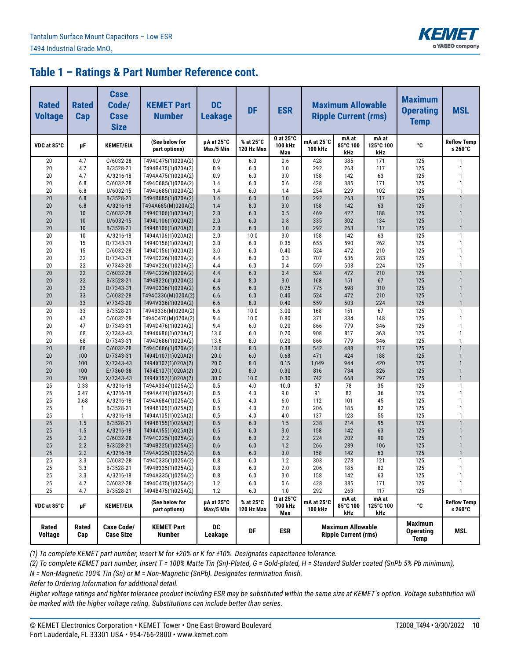

| <b>Rated</b><br><b>Voltage</b> | <b>Rated</b><br>Cap | <b>Case</b><br>Code/<br><b>Case</b><br><b>Size</b> | <b>KEMET Part</b><br><b>Number</b>       | <b>DC</b><br><b>Leakage</b> | <b>DF</b>               | <b>ESR</b>                         |                              | <b>Maximum Allowable</b><br><b>Ripple Current (rms)</b> |                           | <b>Maximum</b><br><b>Operating</b><br><b>Temp</b> | <b>MSL</b>                       |
|--------------------------------|---------------------|----------------------------------------------------|------------------------------------------|-----------------------------|-------------------------|------------------------------------|------------------------------|---------------------------------------------------------|---------------------------|---------------------------------------------------|----------------------------------|
| VDC at 85°C                    | μF                  | <b>KEMET/EIA</b>                                   | (See below for<br>part options)          | µA at 25°C<br>Max/5 Min     | % at 25°C<br>120 Hz Max | $\Omega$ at 25°C<br>100 kHz<br>Max | mA at 25°C<br><b>100 kHz</b> | mA at<br>85°C 100<br>kHz                                | mA at<br>125°C 100<br>kHz | °C                                                | <b>Reflow Temp</b><br>≤ 260 $°C$ |
| 20                             | 4.7                 | C/6032-28                                          | T494C475(1)020A(2)                       | 0.9                         | 6.0                     | 0.6                                | 428                          | 385                                                     | 171                       | 125                                               | $\mathbf{1}$                     |
| 20                             | 4.7                 | B/3528-21                                          | T494B475(1)020A(2)                       | 0.9                         | 6.0                     | 1.0                                | 292                          | 263                                                     | 117                       | 125                                               | $\mathbf{1}$                     |
| 20                             | 4.7                 | A/3216-18                                          | T494A475(1)020A(2)                       | 0.9                         | 6.0                     | 3.0                                | 158                          | 142                                                     | 63                        | 125                                               | $\mathbf{1}$                     |
| 20                             | 6.8                 | C/6032-28                                          | T494C685(1)020A(2)                       | 1.4                         | 6.0                     | 0.6                                | 428                          | 385                                                     | 171                       | 125                                               | $\mathbf{1}$                     |
| 20                             | 6.8                 | U/6032-15                                          | T494U685(1)020A(2)                       | 1.4<br>1.4                  | 6.0                     | 1.4                                | 254<br>292                   | 229                                                     | 102                       | 125<br>125                                        | $\mathbf{1}$<br>$\mathbf{1}$     |
| 20<br>20                       | 6.8<br>6.8          | B/3528-21<br>A/3216-18                             | T494B685(1)020A(2)<br>T494A685(M)020A(2) | 1.4                         | 6.0<br>8.0              | 1.0<br>3.0                         | 158                          | 263<br>142                                              | 117<br>63                 | 125                                               | $\mathbf{1}$                     |
| 20                             | 10                  | C/6032-28                                          | T494C106(1)020A(2)                       | 2.0                         | 6.0                     | 0.5                                | 469                          | 422                                                     | 188                       | 125                                               | $\overline{1}$                   |
| 20                             | 10                  | U/6032-15                                          | T494U106(1)020A(2)                       | 2.0                         | 6.0                     | 0.8                                | 335                          | 302                                                     | 134                       | 125                                               | $\mathbf{1}$                     |
| 20                             | 10                  | B/3528-21                                          | T494B106(1)020A(2)                       | 2.0                         | 6.0                     | 1.0                                | 292                          | 263                                                     | 117                       | 125                                               | $\overline{1}$                   |
| 20                             | 10                  | A/3216-18                                          | T494A106(1)020A(2)                       | 2.0                         | 10.0                    | 3.0                                | 158                          | 142                                                     | 63                        | 125                                               | $\mathbf{1}$                     |
| 20                             | 15                  | D/7343-31                                          | T494D156(1)020A(2)                       | 3.0                         | 6.0                     | 0.35                               | 655                          | 590                                                     | 262                       | 125                                               | $\mathbf{1}$                     |
| 20                             | 15                  | C/6032-28                                          | T494C156(1)020A(2)                       | 3.0                         | 6.0                     | 0.40                               | 524                          | 472                                                     | 210                       | 125                                               | $\mathbf{1}$                     |
| 20                             | 22                  | D/7343-31                                          | T494D226(1)020A(2)                       | 4.4                         | 6.0                     | 0.3                                | 707                          | 636                                                     | 283                       | 125                                               | $\mathbf{1}$                     |
| 20                             | 22                  | V/7343-20                                          | T494V226(1)020A(2)                       | 4.4                         | 6.0                     | 0.4                                | 559                          | 503                                                     | 224                       | 125                                               | $\mathbf{1}$                     |
| 20                             | 22                  | C/6032-28                                          | T494C226(1)020A(2)                       | 4.4                         | 6.0                     | 0.4                                | 524                          | 472                                                     | 210                       | 125                                               | $\mathbf{1}$                     |
| 20                             | 22                  | B/3528-21                                          | T494B226(1)020A(2)                       | 4.4                         | 8.0                     | 3.0                                | 168                          | 151                                                     | 67                        | 125                                               | $\mathbf{1}$                     |
| 20                             | 33                  | D/7343-31                                          | T494D336(1)020A(2)                       | 6.6                         | 6.0                     | 0.25                               | 775                          | 698                                                     | 310                       | 125                                               | $\overline{1}$                   |
| 20                             | 33                  | C/6032-28                                          | T494C336(M)020A(2)                       | 6.6                         | 6.0                     | 0.40                               | 524                          | 472                                                     | 210                       | 125                                               | $\mathbf{1}$<br>$\overline{1}$   |
| 20                             | 33                  | $V/7343-20$                                        | T494V336(1)020A(2)                       | 6.6                         | 8.0                     | 0.40                               | 559                          | 503                                                     | 224<br>67                 | 125<br>125                                        | $\mathbf{1}$                     |
| 20<br>20                       | 33<br>47            | B/3528-21<br>C/6032-28                             | T494B336(M)020A(2)<br>T494C476(M)020A(2) | 6.6<br>9.4                  | 10.0<br>10.0            | 3.00<br>0.80                       | 168<br>371                   | 151<br>334                                              | 148                       | 125                                               | $\mathbf{1}$                     |
| 20                             | 47                  | D/7343-31                                          | T494D476(1)020A(2)                       | 9.4                         | 6.0                     | 0.20                               | 866                          | 779                                                     | 346                       | 125                                               | $\mathbf{1}$                     |
| 20                             | 68                  | $X/7343-43$                                        | T494X686(1)020A(2)                       | 13.6                        | 6.0                     | 0.20                               | 908                          | 817                                                     | 363                       | 125                                               | $\mathbf{1}$                     |
| 20                             | 68                  | D/7343-31                                          | T494D686(1)020A(2)                       | 13.6                        | 8.0                     | 0.20                               | 866                          | 779                                                     | 346                       | 125                                               | $\mathbf{1}$                     |
| 20                             | 68                  | C/6032-28                                          | T494C686(1)020A(2)                       | 13.6                        | 8.0                     | 0.38                               | 542                          | 488                                                     | 217                       | 125                                               | $\mathbf{1}$                     |
| 20                             | 100                 | D/7343-31                                          | T494D107(1)020A(2)                       | 20.0                        | 6.0                     | 0.68                               | 471                          | 424                                                     | 188                       | 125                                               | $\mathbf{1}$                     |
| 20                             | 100                 | X/7343-43                                          | T494X107(1)020A(2)                       | 20.0                        | 8.0                     | 0.15                               | 1,049                        | 944                                                     | 420                       | 125                                               | $\overline{1}$                   |
| 20                             | 100                 | E/7360-38                                          | T494E107(1)020A(2)                       | 20.0                        | 8.0                     | 0.30                               | 816                          | 734                                                     | 326                       | 125                                               | $\mathbf{1}$                     |
| 20                             | 150                 | X/7343-43                                          | T494X157(1)020A(2)                       | 30.0                        | 10.0                    | 0.30                               | 742                          | 668                                                     | 297                       | 125                                               | $\mathbf{1}$                     |
| 25                             | 0.33                | A/3216-18                                          | T494A334(1)025A(2)                       | 0.5                         | 4.0                     | 10.0                               | 87                           | 78                                                      | 35                        | 125                                               | $\mathbf{1}$                     |
| 25                             | 0.47                | A/3216-18                                          | T494A474(1)025A(2)                       | 0.5                         | 4.0                     | 9.0                                | 91                           | 82                                                      | 36                        | 125                                               | $\mathbf{1}$                     |
| 25                             | 0.68                | A/3216-18                                          | T494A684(1)025A(2)                       | 0.5                         | 4.0                     | 6.0                                | 112                          | 101                                                     | 45                        | 125                                               | $\mathbf{1}$                     |
| 25                             | 1                   | B/3528-21                                          | T494B105(1)025A(2)                       | 0.5                         | 4.0                     | 2.0                                | 206                          | 185                                                     | 82                        | 125                                               | $\mathbf{1}$                     |
| 25<br>25                       | $\mathbf{1}$        | A/3216-18                                          | T494A105(1)025A(2)                       | 0.5<br>0.5                  | 4.0                     | 4.0                                | 137                          | 123                                                     | 55<br>95                  | 125<br>125                                        | $\mathbf{1}$<br>$\mathbf{1}$     |
| 25                             | 1.5<br>1.5          | B/3528-21<br>A/3216-18                             | T494B155(1)025A(2)<br>T494A155(1)025A(2) | 0.5                         | 6.0<br>6.0              | 1.5<br>3.0                         | 238<br>158                   | 214<br>142                                              | 63                        | 125                                               | $\mathbf{1}$                     |
| 25                             | 2.2                 | C/6032-28                                          | T494C225(1)025A(2)                       | 0.6                         | 6.0                     | 2.2                                | 224                          | 202                                                     | 90                        | 125                                               | $\mathbf{1}$                     |
| 25                             | 2.2                 | B/3528-21                                          | T494B225(1)025A(2)                       | 0.6                         | 6.0                     | 1.2                                | 266                          | 239                                                     | 106                       | 125                                               | $\mathbf{1}$                     |
| 25                             | 2.2                 | A/3216-18                                          | T494A225(1)025A(2)                       | 0.6                         | 6.0                     | 3.0                                | 158                          | 142                                                     | 63                        | 125                                               | $\mathbf{1}$                     |
| 25                             | 3.3                 | C/6032-28                                          | T494C335(1)025A(2)                       | 0.8                         | 6.0                     | 1.2                                | 303                          | 273                                                     | 121                       | 125                                               |                                  |
| 25                             | 3.3                 | B/3528-21                                          | T494B335(1)025A(2)                       | 0.8                         | 6.0                     | 2.0                                | 206                          | 185                                                     | 82                        | 125                                               | $\mathbf{1}$                     |
| 25                             | 3.3                 | A/3216-18                                          | T494A335(1)025A(2)                       | 0.8                         | 6.0                     | 3.0                                | 158                          | 142                                                     | 63                        | 125                                               | $\mathbf{1}$                     |
| 25                             | 4.7                 | $C/6032-28$                                        | T494C475(1)025A(2)                       | 1.2                         | 6.0                     | 0.6                                | 428                          | 385                                                     | 171                       | 125                                               | $\mathbf{1}$                     |
| 25                             | 4.7                 | B/3528-21                                          | T494B475(1)025A(2)                       | 1.2                         | 6.0                     | 1.0                                | 292                          | 263                                                     | 117                       | 125                                               | $\mathbf{1}$                     |
| VDC at 85°C                    | μF                  | <b>KEMET/EIA</b>                                   | (See below for<br>part options)          | µA at 25°C<br>Max/5 Min     | % at 25°C<br>120 Hz Max | $\Omega$ at 25°C<br>100 kHz<br>Max | mA at 25°C<br>100 kHz        | mA at<br>85°C 100<br>kHz                                | mA at<br>125°C 100<br>kHz | °C                                                | <b>Reflow Temp</b><br>≤ 260 $°C$ |
| Rated<br><b>Voltage</b>        | Rated<br>Cap        | <b>Case Code/</b><br><b>Case Size</b>              | <b>KEMET Part</b><br><b>Number</b>       | DC<br>Leakage               | DF                      | <b>ESR</b>                         |                              | <b>Maximum Allowable</b><br><b>Ripple Current (rms)</b> |                           | <b>Maximum</b><br><b>Operating</b><br><b>Temp</b> | MSL                              |

*(1) To complete KEMET part number, insert M for ±20% or K for ±10%. Designates capacitance tolerance.*

*(2) To complete KEMET part number, insert T = 100% Matte Tin (Sn)-Plated, G = Gold-plated, H = Standard Solder coated (SnPb 5% Pb minimum),*

*N = Non-Magnetic 100% Tin (Sn) or M = Non-Magnetic (SnPb). Designates termination finish.*

*Refer to Ordering Information for additional detail.*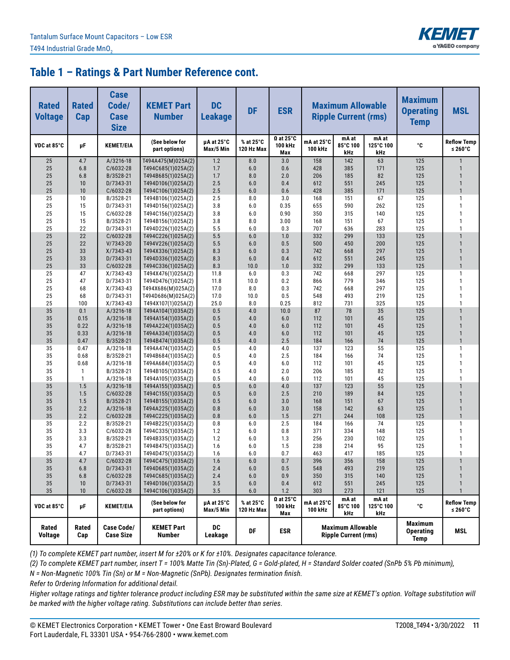

| <b>Rated</b><br><b>Voltage</b> | <b>Rated</b><br>Cap | <b>Case</b><br>Code/<br><b>Case</b><br><b>Size</b> | <b>KEMET Part</b><br><b>Number</b>       | <b>DC</b><br><b>Leakage</b> | <b>DF</b>               | <b>ESR</b>                                    |                              | <b>Maximum Allowable</b><br><b>Ripple Current (rms)</b> |                           | <b>Maximum</b><br><b>Operating</b><br><b>Temp</b> | <b>MSL</b>                       |
|--------------------------------|---------------------|----------------------------------------------------|------------------------------------------|-----------------------------|-------------------------|-----------------------------------------------|------------------------------|---------------------------------------------------------|---------------------------|---------------------------------------------------|----------------------------------|
| VDC at 85°C                    | μF                  | <b>KEMET/EIA</b>                                   | (See below for<br>part options)          | µA at 25°C<br>Max/5 Min     | % at 25°C<br>120 Hz Max | $\Omega$ at 25°C<br>100 kHz<br>Max            | mA at 25°C<br><b>100 kHz</b> | mA at<br>85°C 100<br>kHz                                | mA at<br>125°C 100<br>kHz | °C                                                | <b>Reflow Temp</b><br>≤ 260 $°C$ |
| 25                             | 4.7                 | A/3216-18                                          | T494A475(M)025A(2)                       | 1.2                         | 8.0                     | 3.0                                           | 158                          | 142                                                     | 63                        | 125                                               | $\mathbf{1}$                     |
| 25                             | 6.8                 | C/6032-28                                          | T494C685(1)025A(2)                       | 1.7                         | 6.0                     | 0.6                                           | 428                          | 385                                                     | 171                       | 125                                               | $\mathbf{1}$                     |
| 25                             | 6.8                 | B/3528-21                                          | T494B685(1)025A(2)                       | 1.7                         | 8.0                     | 2.0                                           | 206                          | 185                                                     | 82                        | 125                                               | $\mathbf{1}$                     |
| 25                             | 10                  | D/7343-31                                          | T494D106(1)025A(2)                       | 2.5                         | 6.0                     | 0.4                                           | 612                          | 551                                                     | 245                       | 125                                               | $\mathbf{1}$<br>$\mathbf{1}$     |
| 25<br>25                       | 10<br>10            | C/6032-28<br>B/3528-21                             | T494C106(1)025A(2)<br>T494B106(1)025A(2) | 2.5<br>2.5                  | 6.0<br>8.0              | 0.6<br>3.0                                    | 428<br>168                   | 385<br>151                                              | 171<br>67                 | 125<br>125                                        | $\mathbf{1}$                     |
| 25                             | 15                  | D/7343-31                                          | T494D156(1)025A(2)                       | 3.8                         | 6.0                     | 0.35                                          | 655                          | 590                                                     | 262                       | 125                                               | $\mathbf{1}$                     |
| 25                             | 15                  | C/6032-28                                          | T494C156(1)025A(2)                       | 3.8                         | 6.0                     | 0.90                                          | 350                          | 315                                                     | 140                       | 125                                               | $\mathbf{1}$                     |
| 25                             | 15                  | B/3528-21                                          | T494B156(1)025A(2)                       | 3.8                         | 8.0                     | 3.00                                          | 168                          | 151                                                     | 67                        | 125                                               | $\mathbf{1}$                     |
| 25                             | 22                  | D/7343-31                                          | T494D226(1)025A(2)                       | 5.5                         | 6.0                     | 0.3                                           | 707                          | 636                                                     | 283                       | 125                                               | $\mathbf{1}$                     |
| 25                             | 22                  | C/6032-28                                          | T494C226(1)025A(2)                       | 5.5                         | 6.0                     | 1.0                                           | 332                          | 299                                                     | 133                       | 125                                               | $\mathbf{1}$                     |
| 25                             | 22                  | V/7343-20                                          | T494V226(1)025A(2)                       | 5.5                         | 6.0                     | 0.5                                           | 500                          | 450                                                     | 200                       | 125                                               | $\mathbf{1}$                     |
| 25                             | 33                  | X/7343-43                                          | T494X336(1)025A(2)                       | 8.3                         | 6.0                     | 0.3                                           | 742                          | 668                                                     | 297                       | 125                                               | $\mathbf{1}$                     |
| 25                             | 33                  | D/7343-31                                          | T494D336(1)025A(2)                       | 8.3                         | 6.0                     | 0.4                                           | 612                          | 551                                                     | 245                       | 125                                               | $\mathbf{1}$                     |
| 25                             | 33                  | C/6032-28                                          | T494C336(1)025A(2)                       | 8.3                         | 10.0                    | 1.0                                           | 332                          | 299                                                     | 133                       | 125                                               | $\overline{1}$                   |
| 25                             | 47                  | X/7343-43                                          | T494X476(1)025A(2)                       | 11.8                        | 6.0                     | 0.3                                           | 742                          | 668                                                     | 297                       | 125                                               | $\mathbf{1}$                     |
| 25                             | 47                  | D/7343-31                                          | T494D476(1)025A(2)                       | 11.8                        | 10.0                    | 0.2                                           | 866                          | 779                                                     | 346                       | 125                                               | $\mathbf{1}$                     |
| 25                             | 68                  | X/7343-43                                          | T494X686(M)025A(2)                       | 17.0                        | 8.0                     | 0.3                                           | 742                          | 668                                                     | 297                       | 125                                               | $\mathbf{1}$                     |
| 25                             | 68                  | D/7343-31                                          | T494D686(M)025A(2)                       | 17.0                        | 10.0                    | 0.5                                           | 548                          | 493                                                     | 219                       | 125                                               | $\mathbf{1}$<br>$\mathbf{1}$     |
| 25<br>35                       | 100<br>0.1          | X/7343-43<br>A/3216-18                             | T494X107(1)025A(2)<br>T494A104(1)035A(2) | 25.0<br>0.5                 | 8.0<br>4.0              | 0.25<br>10.0                                  | 812<br>87                    | 731<br>78                                               | 325<br>35                 | 125<br>125                                        | $\overline{1}$                   |
| 35                             | 0.15                | A/3216-18                                          | T494A154(1)035A(2)                       | 0.5                         | 4.0                     | 6.0                                           | 112                          | 101                                                     | 45                        | 125                                               | $\overline{1}$                   |
| 35                             | 0.22                | A/3216-18                                          | T494A224(1)035A(2)                       | 0.5                         | 4.0                     | 6.0                                           | 112                          | 101                                                     | 45                        | 125                                               | $\mathbf{1}$                     |
| 35                             | 0.33                | A/3216-18                                          | T494A334(1)035A(2)                       | 0.5                         | 4.0                     | 6.0                                           | 112                          | 101                                                     | 45                        | 125                                               | $\mathbf{1}$                     |
| 35                             | 0.47                | B/3528-21                                          | T494B474(1)035A(2)                       | 0.5                         | 4.0                     | 2.5                                           | 184                          | 166                                                     | 74                        | 125                                               | $\overline{1}$                   |
| 35                             | 0.47                | A/3216-18                                          | T494A474(1)035A(2)                       | 0.5                         | 4.0                     | 4.0                                           | 137                          | 123                                                     | 55                        | 125                                               | $\mathbf{1}$                     |
| 35                             | 0.68                | B/3528-21                                          | T494B684(1)035A(2)                       | 0.5                         | 4.0                     | 2.5                                           | 184                          | 166                                                     | 74                        | 125                                               | $\mathbf{1}$                     |
| 35                             | 0.68                | A/3216-18                                          | T494A684(1)035A(2)                       | 0.5                         | 4.0                     | 6.0                                           | 112                          | 101                                                     | 45                        | 125                                               | $\mathbf{1}$                     |
| 35                             | 1                   | B/3528-21                                          | T494B105(1)035A(2)                       | 0.5                         | 4.0                     | 2.0                                           | 206                          | 185                                                     | 82                        | 125                                               | $\mathbf{1}$                     |
| 35                             | $\mathbf{1}$        | A/3216-18                                          | T494A105(1)035A(2)                       | 0.5                         | 4.0                     | 6.0                                           | 112                          | 101                                                     | 45                        | 125                                               | $\mathbf{1}$                     |
| 35                             | 1.5                 | A/3216-18                                          | T494A155(1)035A(2)                       | 0.5                         | 6.0                     | 4.0                                           | 137                          | 123                                                     | 55                        | 125                                               | $\mathbf{1}$                     |
| 35                             | 1.5                 | C/6032-28                                          | T494C155(1)035A(2)                       | 0.5                         | 6.0                     | 2.5                                           | 210                          | 189                                                     | 84                        | 125                                               | $\mathbf{1}$                     |
| 35                             | 1.5                 | B/3528-21                                          | T494B155(1)035A(2)                       | 0.5                         | 6.0                     | 3.0                                           | 168                          | 151                                                     | 67                        | 125                                               | $\mathbf{1}$<br>$\mathbf{1}$     |
| 35<br>35                       | 2.2<br>2.2          | A/3216-18<br>C/6032-28                             | T494A225(1)035A(2)<br>T494C225(1)035A(2) | 0.8<br>0.8                  | 6.0<br>6.0              | 3.0<br>1.5                                    | 158<br>271                   | 142<br>244                                              | 63<br>108                 | 125<br>125                                        | $\overline{1}$                   |
| 35                             | 2.2                 | B/3528-21                                          | T494B225(1)035A(2)                       | 0.8                         | 6.0                     | 2.5                                           | 184                          | 166                                                     | 74                        | 125                                               | $\mathbf{1}$                     |
| 35                             | 3.3                 | C/6032-28                                          | T494C335(1)035A(2)                       | 1.2                         | 6.0                     | 0.8                                           | 371                          | 334                                                     | 148                       | 125                                               | $\mathbf{1}$                     |
| 35                             | 3.3                 | B/3528-21                                          | T494B335(1)035A(2)                       | 1.2                         | 6.0                     | 1.3                                           | 256                          | 230                                                     | 102                       | 125                                               | $\mathbf{1}$                     |
| 35                             | 4.7                 | B/3528-21                                          | T494B475(1)035A(2)                       | 1.6                         | 6.0                     | 1.5                                           | 238                          | 214                                                     | 95                        | 125                                               | $\mathbf{1}$                     |
| 35                             | 4.7                 | D/7343-31                                          | T494D475(1)035A(2)                       | 1.6                         | 6.0                     | 0.7                                           | 463                          | 417                                                     | 185                       | 125                                               | $\mathbf{1}$                     |
| $35\,$                         | 4.7                 | C/6032-28                                          | T494C475(1)035A(2)                       | 1.6                         | $6.0\,$                 | 0.7                                           | 396                          | 356                                                     | 158                       | 125                                               |                                  |
| 35                             | $6.8$               | D/7343-31                                          | T494D685(1)035A(2)                       | 2.4                         | 6.0                     | 0.5                                           | 548                          | 493                                                     | 219                       | 125                                               | $\mathbf{1}$                     |
| $35\,$                         | 6.8                 | C/6032-28                                          | T494C685(1)035A(2)                       | 2.4                         | 6.0                     | 0.9                                           | 350                          | 315                                                     | 140                       | 125                                               | $\mathbf{1}$                     |
| $35\,$                         | 10                  | D/7343-31                                          | T494D106(1)035A(2)                       | $3.5\,$                     | 6.0                     | 0.4                                           | 612                          | 551                                                     | 245                       | 125                                               | $\mathbf{1}$                     |
| 35                             | 10                  | C/6032-28                                          | T494C106(1)035A(2)                       | $3.5\,$                     | $6.0\,$                 | 1.2                                           | 303                          | 273                                                     | 121                       | 125                                               | $\mathbf{1}$                     |
| VDC at 85°C                    | μF                  | <b>KEMET/EIA</b>                                   | (See below for<br>part options)          | µA at 25°C<br>Max/5 Min     | % at 25°C<br>120 Hz Max | $\Omega$ at 25 $^{\circ}$ C<br>100 kHz<br>Max | mA at 25°C<br>100 kHz        | mA at<br>85°C 100<br>kHz                                | mA at<br>125°C 100<br>kHz | °C                                                | <b>Reflow Temp</b><br>≤ 260 $°C$ |
| Rated<br><b>Voltage</b>        | Rated<br>Cap        | <b>Case Code/</b><br><b>Case Size</b>              | <b>KEMET Part</b><br>Number              | DC<br>Leakage               | DF                      | <b>ESR</b>                                    |                              | <b>Maximum Allowable</b><br><b>Ripple Current (rms)</b> |                           | <b>Maximum</b><br><b>Operating</b><br><b>Temp</b> | MSL                              |

*(1) To complete KEMET part number, insert M for ±20% or K for ±10%. Designates capacitance tolerance.*

*(2) To complete KEMET part number, insert T = 100% Matte Tin (Sn)-Plated, G = Gold-plated, H = Standard Solder coated (SnPb 5% Pb minimum),*

*N = Non-Magnetic 100% Tin (Sn) or M = Non-Magnetic (SnPb). Designates termination finish.*

*Refer to Ordering Information for additional detail.*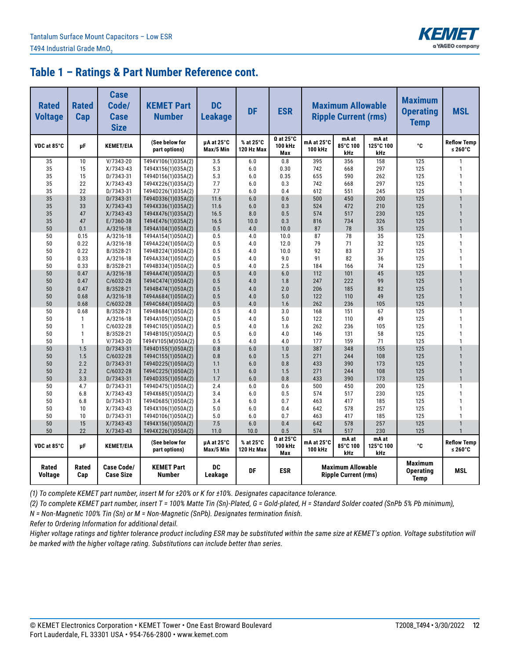

| <b>Rated</b><br><b>Voltage</b> | <b>Rated</b><br>Cap | <b>Case</b><br>Code/<br><b>Case</b><br><b>Size</b> | <b>KEMET Part</b><br><b>Number</b>       | <b>DC</b><br><b>Leakage</b> | <b>DF</b>               | <b>ESR</b>                                    |                       | <b>Maximum Allowable</b><br><b>Ripple Current (rms)</b> |                           | <b>Maximum</b><br><b>Operating</b><br><b>Temp</b> | <b>MSL</b>                               |
|--------------------------------|---------------------|----------------------------------------------------|------------------------------------------|-----------------------------|-------------------------|-----------------------------------------------|-----------------------|---------------------------------------------------------|---------------------------|---------------------------------------------------|------------------------------------------|
| VDC at 85°C                    | μF                  | <b>KEMET/EIA</b>                                   | (See below for<br>part options)          | µA at 25°C<br>Max/5 Min     | % at 25°C<br>120 Hz Max | $\Omega$ at 25 $^{\circ}$ C<br>100 kHz<br>Max | mA at 25°C<br>100 kHz | mA at<br>85°C 100<br>kHz                                | mA at<br>125°C 100<br>kHz | ۰c                                                | <b>Reflow Temp</b><br>≤ 260 $^{\circ}$ C |
| 35                             | 10                  | $V/7343-20$                                        | T494V106(1)035A(2)                       | 3.5                         | 6.0                     | 0.8                                           | 395                   | 356                                                     | 158                       | 125                                               | $\mathbf{1}$                             |
| 35                             | 15                  | $X/7343-43$                                        | T494X156(1)035A(2)                       | 5.3                         | 6.0                     | 0.30                                          | 742                   | 668                                                     | 297                       | 125                                               | 1                                        |
| 35                             | 15                  | D/7343-31                                          | T494D156(1)035A(2)                       | 5.3                         | 6.0                     | 0.35                                          | 655                   | 590                                                     | 262                       | 125                                               | 1                                        |
| 35                             | 22                  | $X/7343-43$                                        | T494X226(1)035A(2)                       | 7.7                         | 6.0                     | 0.3                                           | 742                   | 668                                                     | 297                       | 125                                               | 1                                        |
| 35                             | 22                  | D/7343-31                                          | T494D226(1)035A(2)                       | 7.7                         | 6.0                     | 0.4                                           | 612                   | 551                                                     | 245                       | 125                                               | 1                                        |
| 35                             | 33                  | D/7343-31                                          | T494D336(1)035A(2)                       | 11.6                        | 6.0                     | 0.6                                           | 500                   | 450                                                     | 200                       | 125                                               | $\mathbf{1}$                             |
| 35                             | 33                  | $X/7343-43$                                        | T494X336(1)035A(2)                       | 11.6                        | 6.0                     | 0.3                                           | 524                   | 472                                                     | 210                       | 125                                               | $\mathbf{1}$                             |
| 35                             | 47                  | $X/7343-43$                                        | T494X476(1)035A(2)                       | 16.5                        | 8.0                     | 0.5                                           | 574                   | 517                                                     | 230                       | 125                                               | $\mathbf{1}$                             |
| 35                             | 47                  | E/7360-38                                          | T494E476(1)035A(2)                       | 16.5                        | 10.0                    | 0.3                                           | 816                   | 734                                                     | 326                       | 125                                               | $\mathbf{1}$                             |
| 50<br>50                       | 0.1                 | A/3216-18                                          | T494A104(1)050A(2)                       | 0.5<br>0.5                  | 4.0<br>4.0              | 10.0                                          | 87<br>87              | 78<br>78                                                | 35                        | 125<br>125                                        | $\mathbf{1}$<br>1                        |
| 50                             | 0.15<br>0.22        | A/3216-18<br>A/3216-18                             | T494A154(1)050A(2)<br>T494A224(1)050A(2) | 0.5                         | 4.0                     | 10.0<br>12.0                                  | 79                    | 71                                                      | 35<br>32                  | 125                                               | 1                                        |
| 50                             | 0.22                | B/3528-21                                          | T494B224(1)050A(2)                       | 0.5                         | 4.0                     | 10.0                                          | 92                    | 83                                                      | 37                        | 125                                               | 1                                        |
| 50                             | 0.33                | A/3216-18                                          | T494A334(1)050A(2)                       | 0.5                         | 4.0                     | 9.0                                           | 91                    | 82                                                      | 36                        | 125                                               | $\mathbf{1}$                             |
| 50                             | 0.33                | B/3528-21                                          | T494B334(1)050A(2)                       | 0.5                         | 4.0                     | 2.5                                           | 184                   | 166                                                     | 74                        | 125                                               | 1                                        |
| 50                             | 0.47                | A/3216-18                                          | T494A474(1)050A(2)                       | 0.5                         | 4.0                     | 6.0                                           | 112                   | 101                                                     | 45                        | 125                                               | $\overline{1}$                           |
| 50                             | 0.47                | $C/6032-28$                                        | T494C474(1)050A(2)                       | 0.5                         | 4.0                     | 1.8                                           | 247                   | 222                                                     | 99                        | 125                                               | $\mathbf{1}$                             |
| 50                             | 0.47                | B/3528-21                                          | T494B474(1)050A(2)                       | 0.5                         | 4.0                     | 2.0                                           | 206                   | 185                                                     | 82                        | 125                                               | $\mathbf{1}$                             |
| 50                             | 0.68                | A/3216-18                                          | T494A684(1)050A(2)                       | 0.5                         | 4.0                     | 5.0                                           | 122                   | 110                                                     | 49                        | 125                                               | $\mathbf{1}$                             |
| 50                             | 0.68                | C/6032-28                                          | T494C684(1)050A(2)                       | 0.5                         | 4.0                     | 1.6                                           | 262                   | 236                                                     | 105                       | 125                                               | $\mathbf{1}$                             |
| 50                             | 0.68                | B/3528-21                                          | T494B684(1)050A(2)                       | 0.5                         | 4.0                     | 3.0                                           | 168                   | 151                                                     | 67                        | 125                                               | 1                                        |
| 50                             | $\mathbf{1}$        | A/3216-18                                          | T494A105(1)050A(2)                       | 0.5                         | 4.0                     | 5.0                                           | 122                   | 110                                                     | 49                        | 125                                               | 1                                        |
| 50                             | $\mathbf{1}$        | C/6032-28                                          | T494C105(1)050A(2)                       | 0.5                         | 4.0                     | 1.6                                           | 262                   | 236                                                     | 105                       | 125                                               | 1                                        |
| 50                             | $\mathbf{1}$        | B/3528-21                                          | T494B105(1)050A(2)                       | 0.5                         | 6.0                     | 4.0                                           | 146                   | 131                                                     | 58                        | 125                                               | 1                                        |
| 50                             | $\mathbf{1}$        | $V/7343 - 20$                                      | T494V105(M)050A(2)                       | 0.5                         | 4.0                     | 4.0                                           | 177                   | 159                                                     | 71                        | 125                                               | $\mathbf{1}$                             |
| 50                             | 1.5                 | D/7343-31                                          | T494D155(1)050A(2)                       | 0.8                         | 6.0                     | 1.0                                           | 387                   | 348                                                     | 155                       | 125                                               | $\mathbf{1}$                             |
| 50                             | 1.5                 | C/6032-28                                          | T494C155(1)050A(2)                       | 0.8                         | 6.0                     | 1.5                                           | 271                   | 244                                                     | 108                       | 125                                               | $\mathbf{1}$                             |
| 50                             | 2.2                 | D/7343-31                                          | T494D225(1)050A(2)                       | 1.1                         | 6.0                     | 0.8                                           | 433                   | 390                                                     | 173                       | 125                                               | $\mathbf{1}$                             |
| 50                             | 2.2                 | C/6032-28                                          | T494C225(1)050A(2)                       | 1.1                         | 6.0                     | 1.5                                           | 271                   | 244                                                     | 108                       | 125                                               | $\mathbf{1}$                             |
| 50                             | 3.3                 | D/7343-31                                          | T494D335(1)050A(2)                       | 1.7                         | 6.0                     | 0.8                                           | 433                   | 390                                                     | 173                       | 125                                               | $\mathbf{1}$                             |
| 50                             | 4.7                 | D/7343-31                                          | T494D475(1)050A(2)                       | 2.4                         | 6.0                     | 0.6                                           | 500                   | 450                                                     | 200                       | 125                                               | 1                                        |
| 50                             | 6.8                 | $X/7343-43$                                        | T494X685(1)050A(2)                       | 3.4                         | 6.0                     | 0.5                                           | 574                   | 517                                                     | 230                       | 125                                               | 1                                        |
| 50                             | 6.8                 | D/7343-31                                          | T494D685(1)050A(2)                       | 3.4                         | 6.0                     | 0.7                                           | 463                   | 417                                                     | 185                       | 125                                               | $\mathbf{1}$                             |
| 50                             | 10                  | $X/7343-43$                                        | T494X106(1)050A(2)                       | 5.0                         | 6.0                     | 0.4                                           | 642                   | 578                                                     | 257                       | 125                                               | 1                                        |
| 50                             | 10                  | D/7343-31                                          | T494D106(1)050A(2)                       | 5.0                         | 6.0                     | 0.7                                           | 463                   | 417                                                     | 185                       | 125                                               | $\mathbf{1}$<br>$\mathbf{1}$             |
| 50<br>50                       | 15<br>22            | $X/7343-43$<br>$X/7343-43$                         | T494X156(1)050A(2)<br>T494X226(1)050A(2) | 7.5<br>11.0                 | 6.0<br>10.0             | 0.4<br>0.5                                    | 642<br>574            | 578<br>517                                              | 257<br>230                | 125<br>125                                        | $\mathbf{1}$                             |
| VDC at 85°C                    | μF                  | <b>KEMET/EIA</b>                                   | (See below for<br>part options)          | µA at 25°C<br>Max/5 Min     | % at 25°C<br>120 Hz Max | $\Omega$ at 25°C<br>100 kHz<br>Max            | mA at 25°C<br>100 kHz | mA at<br>85°C 100<br>kHz                                | mA at<br>125°C 100<br>kHz | °C                                                | <b>Reflow Temp</b><br>≤ 260 $°C$         |
| Rated<br><b>Voltage</b>        | <b>Rated</b><br>Cap | <b>Case Code/</b><br><b>Case Size</b>              | <b>KEMET Part</b><br>Number              | DC<br>Leakage               | DF                      | <b>ESR</b>                                    |                       | <b>Maximum Allowable</b><br><b>Ripple Current (rms)</b> |                           | <b>Maximum</b><br><b>Operating</b><br><b>Temp</b> | <b>MSL</b>                               |

*(1) To complete KEMET part number, insert M for ±20% or K for ±10%. Designates capacitance tolerance.*

*(2) To complete KEMET part number, insert T = 100% Matte Tin (Sn)-Plated, G = Gold-plated, H = Standard Solder coated (SnPb 5% Pb minimum),*

*N = Non-Magnetic 100% Tin (Sn) or M = Non-Magnetic (SnPb). Designates termination finish.*

*Refer to Ordering Information for additional detail.*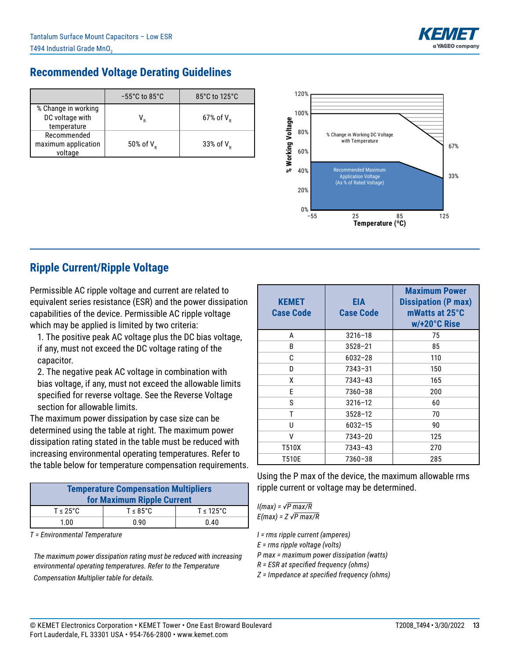

### **Recommended Voltage Derating Guidelines**

|                                                       | $-55^{\circ}$ C to 85 $^{\circ}$ C | 85°C to 125°C            |
|-------------------------------------------------------|------------------------------------|--------------------------|
| % Change in working<br>DC voltage with<br>temperature |                                    | $67\%$ of V <sub>p</sub> |
| Recommended<br>maximum application<br>voltage         | 50% of $V_p$                       | 33% of $V_p$             |



### **Ripple Current/Ripple Voltage**

Permissible AC ripple voltage and current are related to equivalent series resistance (ESR) and the power dissipation capabilities of the device. Permissible AC ripple voltage which may be applied is limited by two criteria:

1. The positive peak AC voltage plus the DC bias voltage, if any, must not exceed the DC voltage rating of the capacitor.

2. The negative peak AC voltage in combination with bias voltage, if any, must not exceed the allowable limits specified for reverse voltage. See the Reverse Voltage section for allowable limits.

The maximum power dissipation by case size can be determined using the table at right. The maximum power dissipation rating stated in the table must be reduced with increasing environmental operating temperatures. Refer to the table below for temperature compensation requirements.

| <b>Temperature Compensation Multipliers</b><br>for Maximum Ripple Current |                       |                        |  |  |  |  |
|---------------------------------------------------------------------------|-----------------------|------------------------|--|--|--|--|
| $T \leq 25^{\circ}$ C                                                     | $T \leq 85^{\circ}$ C | $T \leq 125^{\circ}$ C |  |  |  |  |
| 1.00                                                                      | 0.90                  | 0.40                   |  |  |  |  |

*T = Environmental Temperature*

*The maximum power dissipation rating must be reduced with increasing environmental operating temperatures. Refer to the Temperature Compensation Multiplier table for details.*

| <b>KEMET</b><br><b>Case Code</b> | EIA<br><b>Case Code</b> | <b>Maximum Power</b><br><b>Dissipation (P max)</b><br>mWatts at 25°C<br>w/+20°C Rise |
|----------------------------------|-------------------------|--------------------------------------------------------------------------------------|
| A                                | $3216 - 18$             | 75                                                                                   |
| B                                | $3528 - 21$             | 85                                                                                   |
| C                                | $6032 - 28$             | 110                                                                                  |
| D                                | 7343-31                 | 150                                                                                  |
| x                                | 7343-43                 | 165                                                                                  |
| F                                | $7360 - 38$             | 200                                                                                  |
| S                                | $3216 - 12$             | 60                                                                                   |
| T                                | $3528 - 12$             | 70                                                                                   |
| Ħ                                | 6032-15                 | 90                                                                                   |
| v                                | $7343 - 20$             | 125                                                                                  |
| T510X                            | 7343-43                 | 270                                                                                  |
| T510E                            | 7360-38                 | 285                                                                                  |

Using the P max of the device, the maximum allowable rms ripple current or voltage may be determined.

*I(max) = √P max/R E(max) = Z √P max/R*

*I = rms ripple current (amperes)*

*E = rms ripple voltage (volts)*

*P max = maximum power dissipation (watts)*

*R = ESR at specified frequency (ohms)*

*Z = Impedance at specified frequency (ohms)*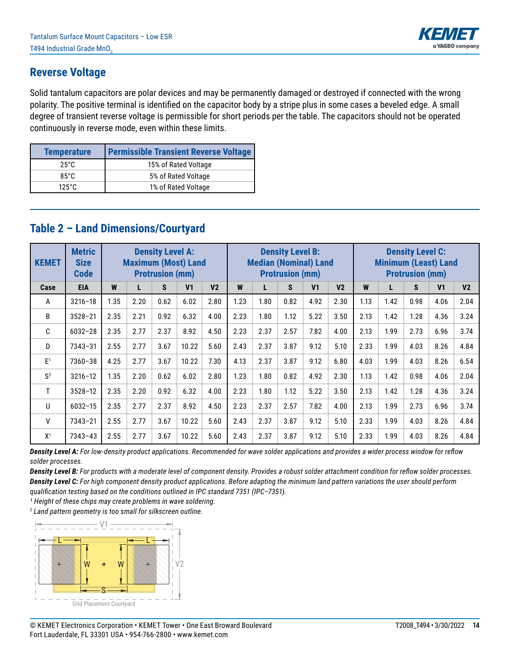

### **Reverse Voltage**

Solid tantalum capacitors are polar devices and may be permanently damaged or destroyed if connected with the wrong polarity. The positive terminal is identified on the capacitor body by a stripe plus in some cases a beveled edge. A small degree of transient reverse voltage is permissible for short periods per the table. The capacitors should not be operated continuously in reverse mode, even within these limits.

| <b>Temperature</b> | <b>Permissible Transient Reverse Voltage</b> |
|--------------------|----------------------------------------------|
| 25°C               | 15% of Rated Voltage                         |
| $85^\circ C$       | 5% of Rated Voltage                          |
| $125^\circ$ C      | 1% of Rated Voltage                          |

### **Table 2 – Land Dimensions/Courtyard**

| <b>KEMET</b>   | <b>Metric</b><br><b>Size</b><br><b>Code</b> | <b>Density Level A:</b><br><b>Maximum (Most) Land</b><br><b>Protrusion (mm)</b> |      |      | <b>Density Level B:</b><br><b>Median (Nominal) Land</b><br><b>Protrusion (mm)</b> |                |      |      | <b>Density Level C:</b><br><b>Minimum (Least) Land</b><br><b>Protrusion (mm)</b> |                |                |      |      |      |                |                |
|----------------|---------------------------------------------|---------------------------------------------------------------------------------|------|------|-----------------------------------------------------------------------------------|----------------|------|------|----------------------------------------------------------------------------------|----------------|----------------|------|------|------|----------------|----------------|
| Case           | <b>EIA</b>                                  | W                                                                               | L    | S.   | V <sub>1</sub>                                                                    | V <sub>2</sub> | W    |      | S                                                                                | V <sub>1</sub> | V <sub>2</sub> | W    | L    | S    | V <sub>1</sub> | V <sub>2</sub> |
| A              | $3216 - 18$                                 | 1.35                                                                            | 2.20 | 0.62 | 6.02                                                                              | 2.80           | 1.23 | 1.80 | 0.82                                                                             | 4.92           | 2.30           | 1.13 | 1.42 | 0.98 | 4.06           | 2.04           |
| B              | $3528 - 21$                                 | 2.35                                                                            | 2.21 | 0.92 | 6.32                                                                              | 4.00           | 2.23 | 1.80 | 1.12                                                                             | 5.22           | 3.50           | 2.13 | 1.42 | 1.28 | 4.36           | 3.24           |
| C              | $6032 - 28$                                 | 2.35                                                                            | 2.77 | 2.37 | 8.92                                                                              | 4.50           | 2.23 | 2.37 | 2.57                                                                             | 7.82           | 4.00           | 2.13 | 1.99 | 2.73 | 6.96           | 3.74           |
| D              | 7343-31                                     | 2.55                                                                            | 2.77 | 3.67 | 10.22                                                                             | 5.60           | 2.43 | 2.37 | 3.87                                                                             | 9.12           | 5.10           | 2.33 | 1.99 | 4.03 | 8.26           | 4.84           |
| E <sup>1</sup> | 7360-38                                     | 4.25                                                                            | 2.77 | 3.67 | 10.22                                                                             | 7.30           | 4.13 | 2.37 | 3.87                                                                             | 9.12           | 6.80           | 4.03 | 1.99 | 4.03 | 8.26           | 6.54           |
| S <sup>2</sup> | $3216 - 12$                                 | 1.35                                                                            | 2.20 | 0.62 | 6.02                                                                              | 2.80           | 1.23 | 1.80 | 0.82                                                                             | 4.92           | 2.30           | 1.13 | 1.42 | 0.98 | 4.06           | 2.04           |
| T.             | $3528 - 12$                                 | 2.35                                                                            | 2.20 | 0.92 | 6.32                                                                              | 4.00           | 2.23 | 1.80 | 1.12                                                                             | 5.22           | 3.50           | 2.13 | 1.42 | 1.28 | 4.36           | 3.24           |
| $\cup$         | $6032 - 15$                                 | 2.35                                                                            | 2.77 | 2.37 | 8.92                                                                              | 4.50           | 2.23 | 2.37 | 2.57                                                                             | 7.82           | 4.00           | 2.13 | 1.99 | 2.73 | 6.96           | 3.74           |
| $\mathsf{V}$   | $7343 - 21$                                 | 2.55                                                                            | 2.77 | 3.67 | 10.22                                                                             | 5.60           | 2.43 | 2.37 | 3.87                                                                             | 9.12           | 5.10           | 2.33 | 1.99 | 4.03 | 8.26           | 4.84           |
| X <sup>1</sup> | $7343 - 43$                                 | 2.55                                                                            | 2.77 | 3.67 | 10.22                                                                             | 5.60           | 2.43 | 2.37 | 3.87                                                                             | 9.12           | 5.10           | 2.33 | 1.99 | 4.03 | 8.26           | 4.84           |

*Density Level A: For low-density product applications. Recommended for wave solder applications and provides a wider process window for reflow solder processes.* 

*Density Level B: For products with a moderate level of component density. Provides a robust solder attachment condition for reflow solder processes. Density Level C: For high component density product applications. Before adapting the minimum land pattern variations the user should perform qualification testing based on the conditions outlined in IPC standard 7351 (IPC–7351).*

<sup>1</sup> Height of these chips may create problems in wave soldering.

*2 Land pattern geometry is too small for silkscreen outline.*

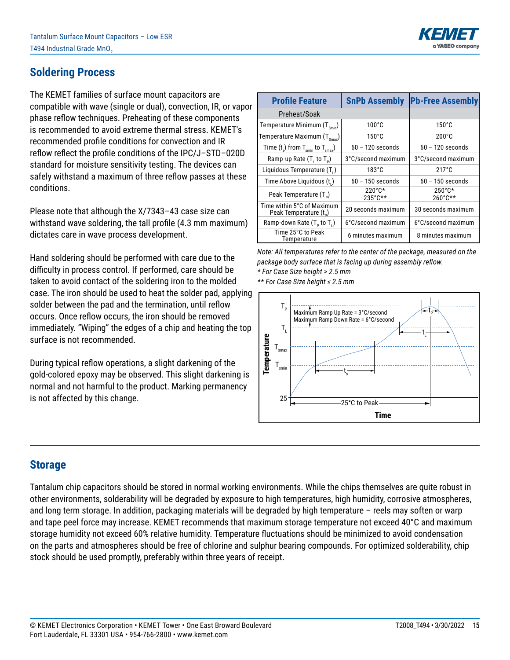

### **Soldering Process**

The KEMET families of surface mount capacitors are compatible with wave (single or dual), convection, IR, or vapor phase reflow techniques. Preheating of these components is recommended to avoid extreme thermal stress. KEMET's recommended profile conditions for convection and IR reflow reflect the profile conditions of the IPC/J–STD–020D standard for moisture sensitivity testing. The devices can safely withstand a maximum of three reflow passes at these conditions.

Please note that although the X/7343–43 case size can withstand wave soldering, the tall profile (4.3 mm maximum) dictates care in wave process development.

Hand soldering should be performed with care due to the difficulty in process control. If performed, care should be taken to avoid contact of the soldering iron to the molded case. The iron should be used to heat the solder pad, applying solder between the pad and the termination, until reflow occurs. Once reflow occurs, the iron should be removed immediately. "Wiping" the edges of a chip and heating the top surface is not recommended.

During typical reflow operations, a slight darkening of the gold-colored epoxy may be observed. This slight darkening is normal and not harmful to the product. Marking permanency is not affected by this change.

| <b>Profile Feature</b>                                           | <b>SnPb Assembly</b>                  | <b>Pb-Free Assembly</b>               |  |
|------------------------------------------------------------------|---------------------------------------|---------------------------------------|--|
| Preheat/Soak                                                     |                                       |                                       |  |
| Temperature Minimum $(T_{smin})$                                 | $100^{\circ}$ C                       | $150^{\circ}$ C                       |  |
| Temperature Maximum $(T_{\text{Smax}})$                          | $150^{\circ}$ C                       | $200^{\circ}$ C                       |  |
| Time $(t_s)$ from $T_{\text{spin}}$ to $T_{\text{smax}}$ )       | $60 - 120$ seconds                    | $60 - 120$ seconds                    |  |
| Ramp-up Rate $(T, to T_p)$                                       | 3°C/second maximum                    | 3°C/second maximum                    |  |
| Liquidous Temperature (T.)                                       | $183^{\circ}$ C                       | $217^{\circ}$ C                       |  |
| Time Above Liquidous (t.)                                        | $60 - 150$ seconds                    | $60 - 150$ seconds                    |  |
| Peak Temperature (T <sub>n</sub> )                               | $220^{\circ}$ C*<br>$235^{\circ}$ C** | $250^{\circ}$ C*<br>$260^{\circ}$ C** |  |
| Time within 5°C of Maximum<br>Peak Temperature (t <sub>n</sub> ) | 20 seconds maximum                    | 30 seconds maximum                    |  |
| Ramp-down Rate $(T_5$ to $T_1$ )                                 | 6°C/second maximum                    | 6°C/second maximum                    |  |
| Time 25°C to Peak<br>Temperature                                 | 6 minutes maximum                     | 8 minutes maximum                     |  |

*Note: All temperatures refer to the center of the package, measured on the package body surface that is facing up during assembly reflow. \* For Case Size height > 2.5 mm \*\* For Case Size height ≤ 2.5 mm*



### **Storage**

Tantalum chip capacitors should be stored in normal working environments. While the chips themselves are quite robust in other environments, solderability will be degraded by exposure to high temperatures, high humidity, corrosive atmospheres, and long term storage. In addition, packaging materials will be degraded by high temperature – reels may soften or warp and tape peel force may increase. KEMET recommends that maximum storage temperature not exceed 40°C and maximum storage humidity not exceed 60% relative humidity. Temperature fluctuations should be minimized to avoid condensation on the parts and atmospheres should be free of chlorine and sulphur bearing compounds. For optimized solderability, chip stock should be used promptly, preferably within three years of receipt.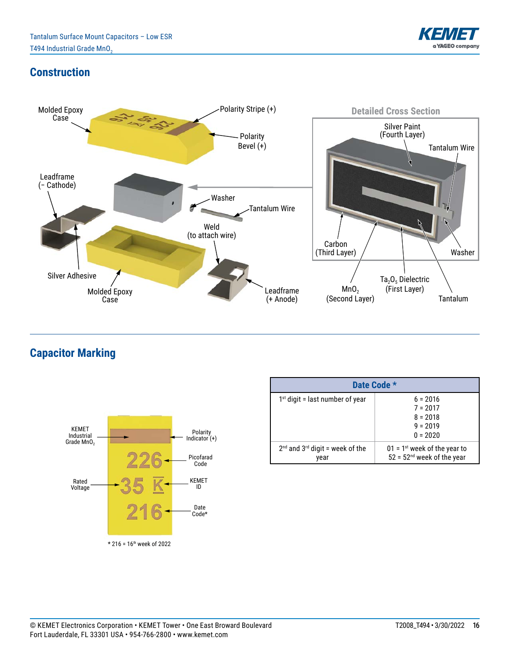

### **Construction**



**Capacitor Marking**



| Date Code *                                 |                                                                            |  |  |  |  |  |
|---------------------------------------------|----------------------------------------------------------------------------|--|--|--|--|--|
| $1st$ digit = last number of year           | $6 = 2016$<br>$7 = 2017$<br>$8 = 2018$<br>$9 = 2019$<br>$0 = 2020$         |  |  |  |  |  |
| $2nd$ and $3rd$ digit = week of the<br>vear | $01 = 1$ <sup>st</sup> week of the year to<br>$52 = 52nd$ week of the year |  |  |  |  |  |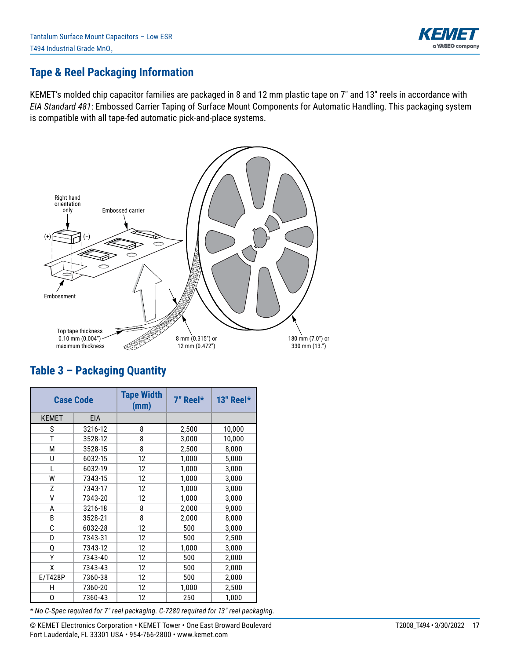

### **Tape & Reel Packaging Information**

KEMET's molded chip capacitor families are packaged in 8 and 12 mm plastic tape on 7" and 13" reels in accordance with *EIA Standard 481*: Embossed Carrier Taping of Surface Mount Components for Automatic Handling. This packaging system is compatible with all tape-fed automatic pick-and-place systems.



# **Table 3 – Packaging Quantity**

| <b>Case Code</b> |            | <b>Tape Width</b><br>(mm) | 7" Reel* | 13" Reel* |
|------------------|------------|---------------------------|----------|-----------|
| <b>KEMET</b>     | <b>EIA</b> |                           |          |           |
| S                | 3216-12    | 8                         | 2,500    | 10,000    |
| T                | 3528-12    | 8                         | 3,000    | 10,000    |
| M                | 3528-15    | 8                         | 2,500    | 8,000     |
| U                | 6032-15    | 12                        | 1,000    | 5,000     |
| L                | 6032-19    | 12                        | 1,000    | 3,000     |
| W                | 7343-15    | 12                        | 1,000    | 3,000     |
| Z                | 7343-17    | 12                        | 1,000    | 3,000     |
| ٧                | 7343-20    | 12                        | 1,000    | 3,000     |
| A                | 3216-18    | 8                         | 2,000    | 9,000     |
| B                | 3528-21    | 8                         | 2,000    | 8,000     |
| C                | 6032-28    | 12                        | 500      | 3,000     |
| D                | 7343-31    | 12                        | 500      | 2,500     |
| Q                | 7343-12    | 12                        | 1,000    | 3,000     |
| Υ                | 7343-40    | 12                        | 500      | 2,000     |
| χ                | 7343-43    | 12                        | 500      | 2,000     |
| E/T428P          | 7360-38    | 12                        | 500      | 2,000     |
| н                | 7360-20    | 12                        | 1,000    | 2,500     |
| 0                | 7360-43    | 12                        | 250      | 1,000     |

*\* No C-Spec required for 7" reel packaging. C-7280 required for 13" reel packaging.*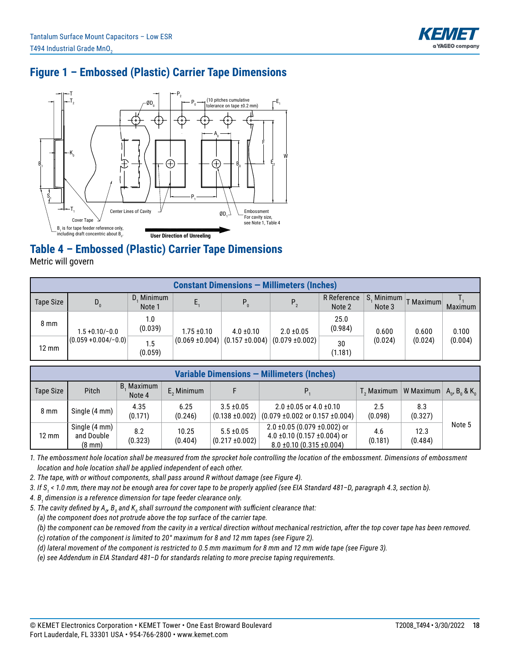

# **Figure 1 – Embossed (Plastic) Carrier Tape Dimensions**



# **Table 4 – Embossed (Plastic) Carrier Tape Dimensions**

Metric will govern

|                 | <b>Constant Dimensions - Millimeters (Inches)</b> |                      |                     |                     |                     |                       |                      |           |                |  |  |
|-----------------|---------------------------------------------------|----------------------|---------------------|---------------------|---------------------|-----------------------|----------------------|-----------|----------------|--|--|
| Tape Size       | $D_{0}$                                           | D. Minimum<br>Note 1 |                     | $P_0$               | P <sub>2</sub>      | R Reference<br>Note 2 | S. Minimum<br>Note 3 | T Maximum | <b>Maximum</b> |  |  |
| $8 \text{ mm}$  | $1.5 + 0.10/-0.0$                                 | 1.0<br>(0.039)       | $1.75 \pm 0.10$     | $4.0 \pm 0.10$      | $2.0 \pm 0.05$      | 25.0<br>(0.984)       | 0.600                | 0.600     | 0.100          |  |  |
| $12 \text{ mm}$ | $(0.059 + 0.004/- 0.0)$                           | 1.5<br>(0.059)       | $(0.069 \pm 0.004)$ | $(0.157 \pm 0.004)$ | $(0.079 \pm 0.002)$ | 30<br>(1.181)         | (0.024)              | (0.024)   | (0.004)        |  |  |

| Variable Dimensions - Millimeters (Inches) |                                                 |                      |                  |                                       |                                                                                                              |                                                            |                 |        |  |  |
|--------------------------------------------|-------------------------------------------------|----------------------|------------------|---------------------------------------|--------------------------------------------------------------------------------------------------------------|------------------------------------------------------------|-----------------|--------|--|--|
| Tape Size                                  | <b>Pitch</b>                                    | B, Maximum<br>Note 4 | $E$ , Minimum    |                                       |                                                                                                              | $T_2$ Maximum   W Maximum   $A_0$ , $B_0$ & K <sub>0</sub> |                 |        |  |  |
| $8 \text{ mm}$                             | Single (4 mm)                                   | 4.35<br>(0.171)      | 6.25<br>(0.246)  | $3.5 \pm 0.05$<br>$(0.138 \pm 0.002)$ | $2.0 \pm 0.05$ or 4.0 $\pm 0.10$<br>$(0.079 \pm 0.002 \text{ or } 0.157 \pm 0.004)$                          | 2.5<br>(0.098)                                             | 8.3<br>(0.327)  |        |  |  |
| 12 mm                                      | Single (4 mm)<br>and Double<br>$(8 \text{ mm})$ | 8.2<br>(0.323)       | 10.25<br>(0.404) | $5.5 \pm 0.05$<br>$(0.217 \pm 0.002)$ | $2.0 \pm 0.05$ (0.079 $\pm 0.002$ ) or<br>4.0 ±0.10 (0.157 ±0.004) or<br>$8.0 \pm 0.10$ (0.315 $\pm 0.004$ ) | 4.6<br>(0.181)                                             | 12.3<br>(0.484) | Note 5 |  |  |

*1. The embossment hole location shall be measured from the sprocket hole controlling the location of the embossment. Dimensions of embossment location and hole location shall be applied independent of each other.*

*2. The tape, with or without components, shall pass around R without damage (see Figure 4).*

*3. If S<sup>1</sup> < 1.0 mm, there may not be enough area for cover tape to be properly applied (see EIA Standard 481–D, paragraph 4.3, section b).*

*4. B<sup>1</sup> dimension is a reference dimension for tape feeder clearance only.*

5. The cavity defined by A<sub> $_{\vartheta}$ </sub> B $_{_0}$  and K $_{_0}$  shall surround the component with sufficient clearance that:

 *(a) the component does not protrude above the top surface of the carrier tape.*

 *(b) the component can be removed from the cavity in a vertical direction without mechanical restriction, after the top cover tape has been removed.*

 *(c) rotation of the component is limited to 20° maximum for 8 and 12 mm tapes (see Figure 2).*

 *(d) lateral movement of the component is restricted to 0.5 mm maximum for 8 mm and 12 mm wide tape (see Figure 3).*

 *(e) see Addendum in EIA Standard 481–D for standards relating to more precise taping requirements.*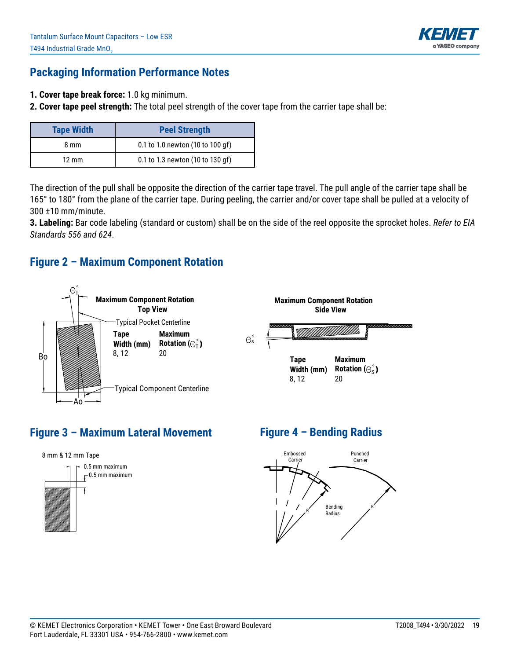

### **Packaging Information Performance Notes**

- **1. Cover tape break force:** 1.0 kg minimum.
- **2. Cover tape peel strength:** The total peel strength of the cover tape from the carrier tape shall be:

| <b>Tape Width</b> | <b>Peel Strength</b>             |
|-------------------|----------------------------------|
| 8 mm              | 0.1 to 1.0 newton (10 to 100 gf) |
| $12 \text{ mm}$   | 0.1 to 1.3 newton (10 to 130 gf) |

The direction of the pull shall be opposite the direction of the carrier tape travel. The pull angle of the carrier tape shall be 165° to 180° from the plane of the carrier tape. During peeling, the carrier and/or cover tape shall be pulled at a velocity of 300 ±10 mm/minute.

**3. Labeling:** Bar code labeling (standard or custom) shall be on the side of the reel opposite the sprocket holes. Refer to EIA *Standards 556 and 624*.

#### **Figure 2 – Maximum Component Rotation**



# **Figure 3 – Maximum Lateral Movement**



# **Figure 4 – Bending Radius**

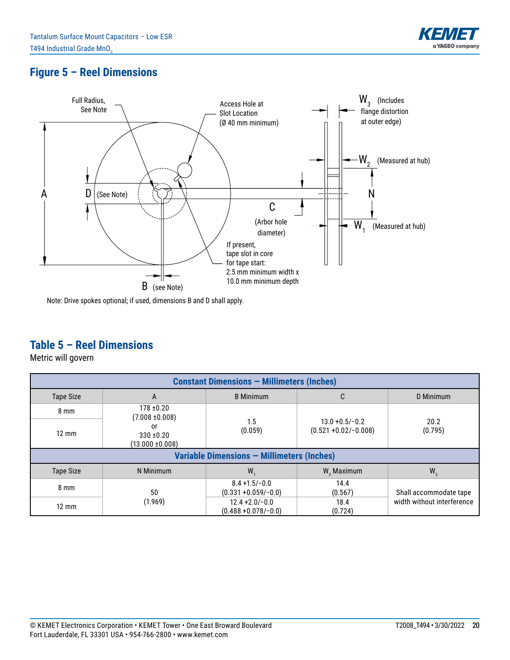

# **Figure 5 – Reel Dimensions**



Note: Drive spokes optional; if used, dimensions B and D shall apply.

### **Table 5 – Reel Dimensions**

Metric will govern

| <b>Constant Dimensions - Millimeters (Inches)</b> |                                            |                                              |                                               |                            |  |  |  |  |
|---------------------------------------------------|--------------------------------------------|----------------------------------------------|-----------------------------------------------|----------------------------|--|--|--|--|
| <b>Tape Size</b>                                  | A                                          | <b>B</b> Minimum                             | C                                             | D Minimum                  |  |  |  |  |
| $8 \text{ mm}$                                    | $178 + 0.20$<br>$(7.008 \pm 0.008)$        |                                              |                                               |                            |  |  |  |  |
| $12 \text{ mm}$                                   | or<br>$330 + 0.20$<br>$(13.000 \pm 0.008)$ | 1.5<br>(0.059)                               | $13.0 + 0.5/-0.2$<br>$(0.521 + 0.02/- 0.008)$ | 20.2<br>(0.795)            |  |  |  |  |
|                                                   |                                            | Variable Dimensions - Millimeters (Inches)   |                                               |                            |  |  |  |  |
| <b>Tape Size</b>                                  | N Minimum                                  | W.                                           | $W$ , Maximum                                 | $W_{3}$                    |  |  |  |  |
| $8 \text{ mm}$                                    | 50                                         | $8.4 + 1.5/-0.0$<br>$(0.331 + 0.059/-0.0)$   | 14.4<br>(0.567)                               | Shall accommodate tape     |  |  |  |  |
| $12 \text{ mm}$                                   | (1.969)                                    | $12.4 + 2.0 - 0.0$<br>$(0.488 + 0.078/-0.0)$ | 18.4<br>(0.724)                               | width without interference |  |  |  |  |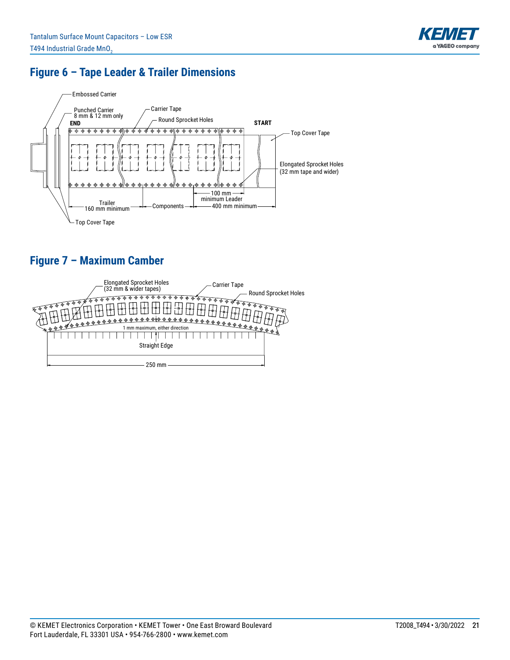

# **Figure 6 – Tape Leader & Trailer Dimensions**



# **Figure 7 – Maximum Camber**